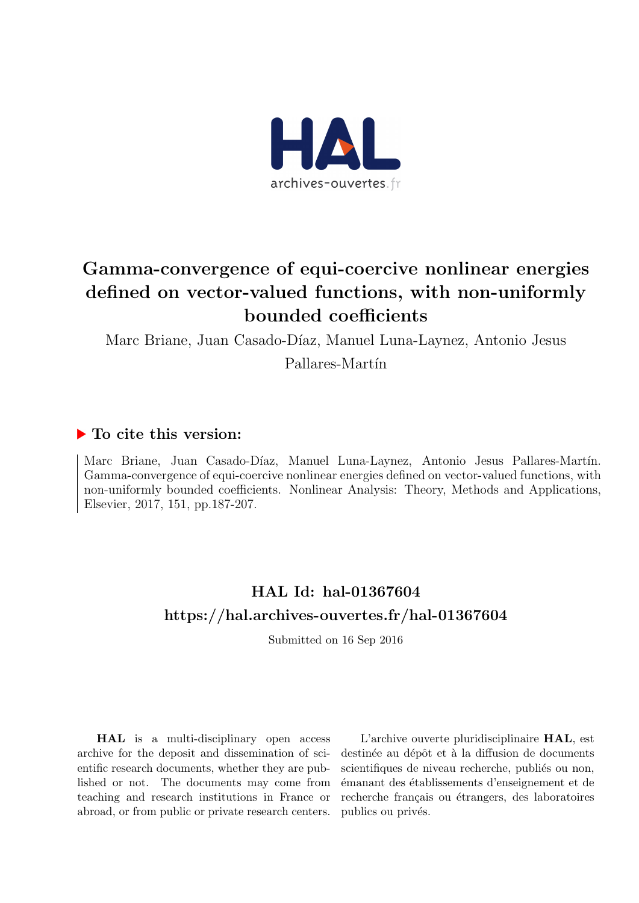

# Gamma-convergence of equi-coercive nonlinear energies defined on vector-valued functions, with non-uniformly bounded coefficients

Marc Briane, Juan Casado-Díaz, Manuel Luna-Laynez, Antonio Jesus

Pallares-Martín

## ▶ To cite this version:

Marc Briane, Juan Casado-Díaz, Manuel Luna-Laynez, Antonio Jesus Pallares-Martín. Gamma-convergence of equi-coercive nonlinear energies defined on vector-valued functions, with non-uniformly bounded coefficients. Nonlinear Analysis: Theory, Methods and Applications, Elsevier, 2017, 151, pp.187-207.

# HAL Id: hal-01367604 <https://hal.archives-ouvertes.fr/hal-01367604>

Submitted on 16 Sep 2016

HAL is a multi-disciplinary open access archive for the deposit and dissemination of scientific research documents, whether they are published or not. The documents may come from teaching and research institutions in France or abroad, or from public or private research centers.

L'archive ouverte pluridisciplinaire HAL, est destinée au dépôt et à la diffusion de documents scientifiques de niveau recherche, publiés ou non, ´emanant des ´etablissements d'enseignement et de recherche français ou étrangers, des laboratoires publics ou privés.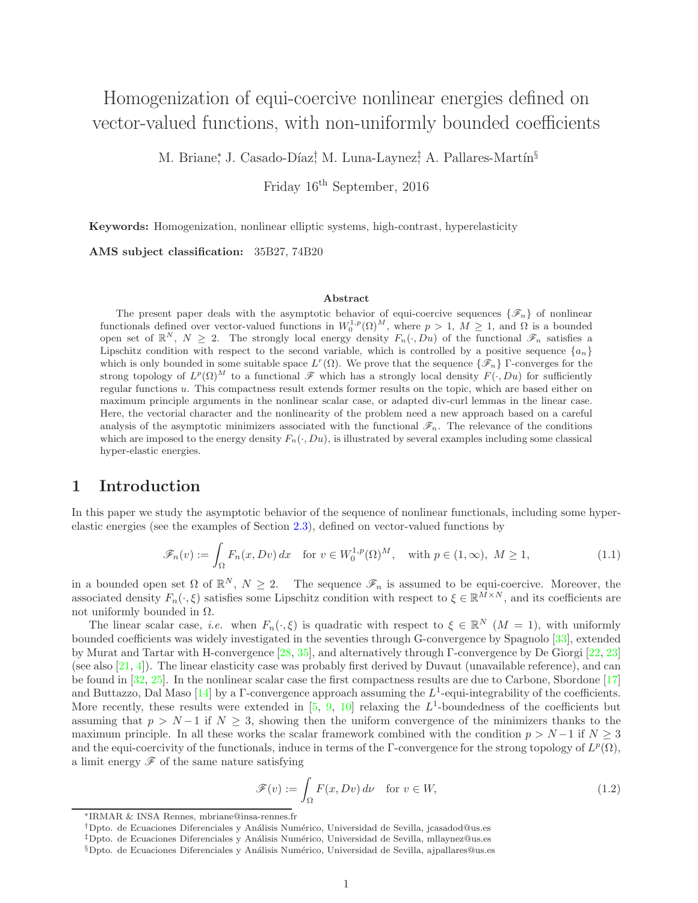## Homogenization of equi-coercive nonlinear energies defined on vector-valued functions, with non-uniformly bounded coefficients

M. Briane\*, J. Casado-Díaz<sup>†</sup>, M. Luna-Laynez<sup>‡</sup> A. Pallares-Martín<sup>§</sup>

Friday 16th September, 2016

Keywords: Homogenization, nonlinear elliptic systems, high-contrast, hyperelasticity

AMS subject classification: 35B27, 74B20

#### Abstract

The present paper deals with the asymptotic behavior of equi-coercive sequences  $\{\mathscr{F}_n\}$  of nonlinear functionals defined over vector-valued functions in  $W_0^{1,p}(\Omega)^M$ , where  $p > 1$ ,  $M \ge 1$ , and  $\Omega$  is a bounded open set of  $\mathbb{R}^N$ ,  $N \geq 2$ . The strongly local energy density  $F_n(\cdot, Du)$  of the functional  $\mathscr{F}_n$  satisfies a Lipschitz condition with respect to the second variable, which is controlled by a positive sequence  $\{a_n\}$ which is only bounded in some suitable space  $L^r(\Omega)$ . We prove that the sequence  $\{\mathscr{F}_n\}$  Γ-converges for the strong topology of  $L^p(\Omega)^M$  to a functional  $\mathscr F$  which has a strongly local density  $F(\cdot, Du)$  for sufficiently regular functions u. This compactness result extends former results on the topic, which are based either on maximum principle arguments in the nonlinear scalar case, or adapted div-curl lemmas in the linear case. Here, the vectorial character and the nonlinearity of the problem need a new approach based on a careful analysis of the asymptotic minimizers associated with the functional  $\mathscr{F}_n$ . The relevance of the conditions which are imposed to the energy density  $F_n(\cdot, Du)$ , is illustrated by several examples including some classical hyper-elastic energies.

## 1 Introduction

In this paper we study the asymptotic behavior of the sequence of nonlinear functionals, including some hyperelastic energies (see the examples of Section [2.3\)](#page-8-0), defined on vector-valued functions by

<span id="page-2-0"></span>
$$
\mathscr{F}_n(v) := \int_{\Omega} F_n(x, Dv) dx \quad \text{for } v \in W_0^{1,p}(\Omega)^M, \quad \text{with } p \in (1, \infty), M \ge 1,
$$
 (1.1)

in a bounded open set  $\Omega$  of  $\mathbb{R}^N$ ,  $N \geq 2$ . The sequence  $\mathscr{F}_n$  is assumed to be equi-coercive. Moreover, the associated density  $F_n(\cdot,\xi)$  satisfies some Lipschitz condition with respect to  $\xi \in \mathbb{R}^{\tilde{M} \times N}$ , and its coefficients are not uniformly bounded in  $Ω$ .

The linear scalar case, *i.e.* when  $F_n(\cdot,\xi)$  is quadratic with respect to  $\xi \in \mathbb{R}^N$   $(M = 1)$ , with uniformly bounded coefficients was widely investigated in the seventies through G-convergence by Spagnolo [\[33\]](#page-19-0), extended by Murat and Tartar with H-convergence [\[28,](#page-19-1) [35\]](#page-19-2), and alternatively through Γ-convergence by De Giorgi [\[22,](#page-18-0) [23\]](#page-19-3) (see also [\[21,](#page-18-1) [4\]](#page-18-2)). The linear elasticity case was probably first derived by Duvaut (unavailable reference), and can be found in [\[32,](#page-19-4) [25\]](#page-19-5). In the nonlinear scalar case the first compactness results are due to Carbone, Sbordone [\[17\]](#page-18-3) and Buttazzo, Dal Maso [\[14\]](#page-18-4) by a  $\Gamma$ -convergence approach assuming the  $L^1$ -equi-integrability of the coefficients. More recently, these results were extended in [\[5,](#page-18-5) [9,](#page-18-6) [10\]](#page-18-7) relaxing the  $L^1$ -boundedness of the coefficients but assuming that  $p > N-1$  if  $N \geq 3$ , showing then the uniform convergence of the minimizers thanks to the maximum principle. In all these works the scalar framework combined with the condition  $p > N-1$  if  $N \geq 3$ and the equi-coercivity of the functionals, induce in terms of the Γ-convergence for the strong topology of  $L^p(\Omega)$ , a limit energy  $\mathscr F$  of the same nature satisfying

<span id="page-2-1"></span>
$$
\mathscr{F}(v) := \int_{\Omega} F(x, Dv) \, d\nu \quad \text{for } v \in W,
$$
\n(1.2)

<sup>∗</sup> IRMAR & INSA Rennes, mbriane@insa-rennes.fr

<sup>†</sup>Dpto. de Ecuaciones Diferenciales y An´alisis Num´erico, Universidad de Sevilla, jcasadod@us.es

<sup>‡</sup>Dpto. de Ecuaciones Diferenciales y An´alisis Num´erico, Universidad de Sevilla, mllaynez@us.es

<sup>§</sup>Dpto. de Ecuaciones Diferenciales y An´alisis Num´erico, Universidad de Sevilla, ajpallares@us.es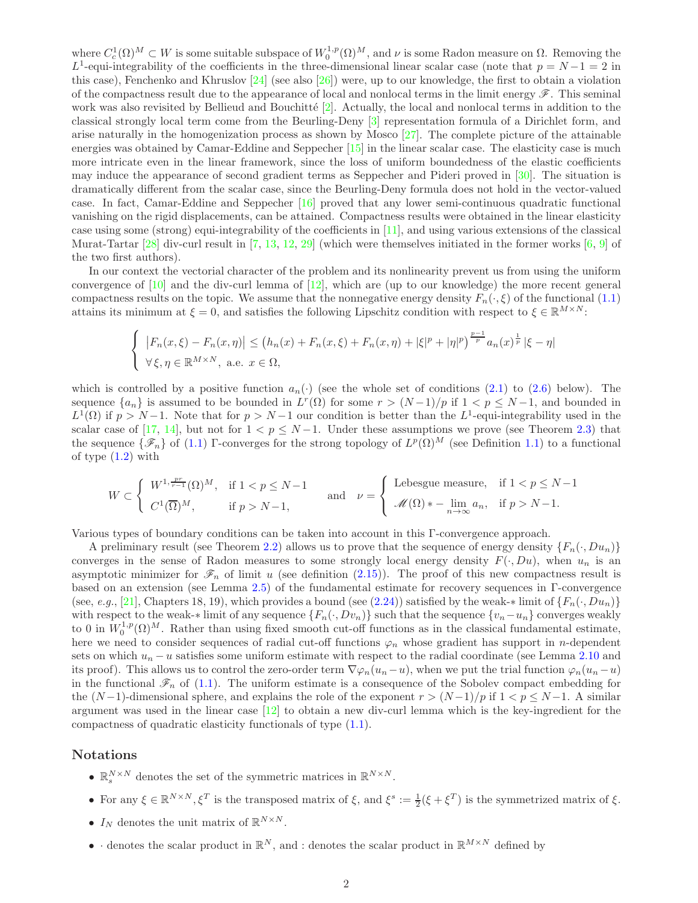where  $C_c^1(\Omega)^M \subset W$  is some suitable subspace of  $W_0^{1,p}(\Omega)^M$ , and  $\nu$  is some Radon measure on  $\Omega$ . Removing the L<sup>1</sup>-equi-integrability of the coefficients in the three-dimensional linear scalar case (note that  $p = N - 1 = 2$  in this case), Fenchenko and Khruslov  $[24]$  (see also  $[26]$ ) were, up to our knowledge, the first to obtain a violation of the compactness result due to the appearance of local and nonlocal terms in the limit energy  $\mathscr F$ . This seminal work was also revisited by Bellieud and Bouchitté  $[2]$ . Actually, the local and nonlocal terms in addition to the classical strongly local term come from the Beurling-Deny [\[3\]](#page-18-9) representation formula of a Dirichlet form, and arise naturally in the homogenization process as shown by Mosco [\[27\]](#page-19-8). The complete picture of the attainable energies was obtained by Camar-Eddine and Seppecher [\[15\]](#page-18-10) in the linear scalar case. The elasticity case is much more intricate even in the linear framework, since the loss of uniform boundedness of the elastic coefficients may induce the appearance of second gradient terms as Seppecher and Pideri proved in [\[30\]](#page-19-9). The situation is dramatically different from the scalar case, since the Beurling-Deny formula does not hold in the vector-valued case. In fact, Camar-Eddine and Seppecher [\[16\]](#page-18-11) proved that any lower semi-continuous quadratic functional vanishing on the rigid displacements, can be attained. Compactness results were obtained in the linear elasticity case using some (strong) equi-integrability of the coefficients in [\[11\]](#page-18-12), and using various extensions of the classical Murat-Tartar [\[28\]](#page-19-1) div-curl result in [\[7,](#page-18-13) [13,](#page-18-14) [12,](#page-18-15) [29\]](#page-19-10) (which were themselves initiated in the former works [\[6,](#page-18-16) [9\]](#page-18-6) of the two first authors).

In our context the vectorial character of the problem and its nonlinearity prevent us from using the uniform convergence of  $[10]$  and the div-curl lemma of  $[12]$ , which are (up to our knowledge) the more recent general compactness results on the topic. We assume that the nonnegative energy density  $F_n(\cdot,\xi)$  of the functional [\(1.1\)](#page-2-0) attains its minimum at  $\xi = 0$ , and satisfies the following Lipschitz condition with respect to  $\xi \in \mathbb{R}^{M \times N}$ :

$$
\begin{cases} |F_n(x,\xi) - F_n(x,\eta)| \le (h_n(x) + F_n(x,\xi) + F_n(x,\eta) + |\xi|^p + |\eta|^p)^{\frac{p-1}{p}} a_n(x)^{\frac{1}{p}} |\xi - \eta| \\ \forall \xi, \eta \in \mathbb{R}^{M \times N}, \text{ a.e. } x \in \Omega, \end{cases}
$$

which is controlled by a positive function  $a_n(\cdot)$  (see the whole set of conditions [\(2.1\)](#page-4-0) to [\(2.6\)](#page-4-1) below). The sequence  $\{a_n\}$  is assumed to be bounded in  $L^r(\Omega)$  for some  $r > (N-1)/p$  if  $1 < p \le N-1$ , and bounded in  $L^1(\Omega)$  if  $p > N-1$ . Note that for  $p > N-1$  our condition is better than the  $L^1$ -equi-integrability used in the scalar case of [\[17,](#page-18-3) [14\]](#page-18-4), but not for  $1 < p \le N-1$ . Under these assumptions we prove (see Theorem [2.3\)](#page-6-0) that the sequence  $\{\mathscr{F}_n\}$  of [\(1.1\)](#page-2-0) Γ-converges for the strong topology of  $L^p(\Omega)^M$  (see Definition [1.1\)](#page-4-2) to a functional of type [\(1.2\)](#page-2-1) with

$$
W \subset \left\{ \begin{array}{ll} W^{1, \frac{pr}{r-1}}(\Omega)^M, & \text{if } 1 < p \le N-1 \\ C^1(\overline{\Omega})^M, & \text{if } p > N-1, \end{array} \right. \quad \text{and} \quad \nu = \left\{ \begin{array}{ll} \text{Lebesgue measure}, & \text{if } 1 < p \le N-1 \\ \mathcal{M}(\Omega) * - \lim_{n \to \infty} a_n, & \text{if } p > N-1. \end{array} \right.
$$

Various types of boundary conditions can be taken into account in this Γ-convergence approach.

A preliminary result (see Theorem [2.2\)](#page-5-0) allows us to prove that the sequence of energy density  $\{F_n(\cdot, Du_n)\}$ converges in the sense of Radon measures to some strongly local energy density  $F(\cdot, Du)$ , when  $u_n$  is an asymptotic minimizer for  $\mathcal{F}_n$  of limit u (see definition [\(2.15\)](#page-5-1)). The proof of this new compactness result is based on an extension (see Lemma [2.5\)](#page-6-1) of the fundamental estimate for recovery sequences in Γ-convergence (see, e.g., [\[21\]](#page-18-1), Chapters 18, 19), which provides a bound (see [\(2.24\)](#page-6-2)) satisfied by the weak-∗ limit of  $\{F_n(\cdot, Du_n)\}$ with respect to the weak-∗ limit of any sequence  $\{F_n(\cdot, Dv_n)\}\$  such that the sequence  $\{v_n-u_n\}\$  converges weakly to 0 in  $W_0^{1,p}(\Omega)^M$ . Rather than using fixed smooth cut-off functions as in the classical fundamental estimate, here we need to consider sequences of radial cut-off functions  $\varphi_n$  whose gradient has support in n-dependent sets on which  $u_n - u$  satisfies some uniform estimate with respect to the radial coordinate (see Lemma [2.10](#page-8-1) and its proof). This allows us to control the zero-order term  $\nabla \varphi_n(u_n-u)$ , when we put the trial function  $\varphi_n(u_n-u)$ in the functional  $\mathscr{F}_n$  of [\(1.1\)](#page-2-0). The uniform estimate is a consequence of the Sobolev compact embedding for the  $(N-1)$ -dimensional sphere, and explains the role of the exponent  $r > (N-1)/p$  if  $1 < p \le N-1$ . A similar argument was used in the linear case [\[12\]](#page-18-15) to obtain a new div-curl lemma which is the key-ingredient for the compactness of quadratic elasticity functionals of type [\(1.1\)](#page-2-0).

## Notations

- $\mathbb{R}^{N \times N}_{s}$  denotes the set of the symmetric matrices in  $\mathbb{R}^{N \times N}$ .
- For any  $\xi \in \mathbb{R}^{N \times N}, \xi^T$  is the transposed matrix of  $\xi$ , and  $\xi^s := \frac{1}{2}(\xi + \xi^T)$  is the symmetrized matrix of  $\xi$ .
- $I_N$  denotes the unit matrix of  $\mathbb{R}^{N \times N}$ .
- denotes the scalar product in  $\mathbb{R}^N$ , and : denotes the scalar product in  $\mathbb{R}^{M\times N}$  defined by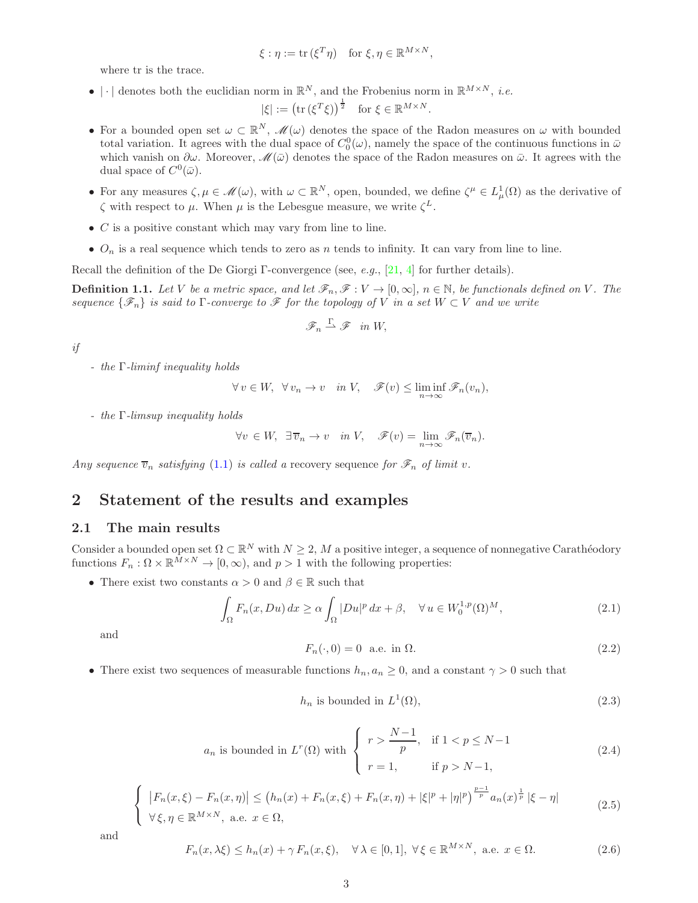$$
\xi : \eta := \text{tr}(\xi^T \eta) \quad \text{for } \xi, \eta \in \mathbb{R}^{M \times N},
$$

where tr is the trace.

• | · | denotes both the euclidian norm in  $\mathbb{R}^N$ , and the Frobenius norm in  $\mathbb{R}^{M \times N}$ , *i.e.* 

$$
|\xi| := \left(\text{tr}\left(\xi^T\xi\right)\right)^{\frac{1}{2}} \quad \text{for } \xi \in \mathbb{R}^{M \times N}.
$$

- For a bounded open set  $\omega \subset \mathbb{R}^N$ ,  $\mathscr{M}(\omega)$  denotes the space of the Radon measures on  $\omega$  with bounded total variation. It agrees with the dual space of  $C_0^0(\omega)$ , namely the space of the continuous functions in  $\bar{\omega}$ which vanish on  $\partial\omega$ . Moreover,  $\mathscr{M}(\bar{\omega})$  denotes the space of the Radon measures on  $\bar{\omega}$ . It agrees with the dual space of  $C^0(\bar{\omega})$ .
- For any measures  $\zeta, \mu \in \mathcal{M}(\omega)$ , with  $\omega \subset \mathbb{R}^N$ , open, bounded, we define  $\zeta^{\mu} \in L^1_{\mu}(\Omega)$  as the derivative of  $\zeta$  with respect to  $\mu$ . When  $\mu$  is the Lebesgue measure, we write  $\zeta^L$ .
- $\bullet$  C is a positive constant which may vary from line to line.
- $O_n$  is a real sequence which tends to zero as n tends to infinity. It can vary from line to line.

Recall the definition of the De Giorgi Γ-convergence (see, e.g., [\[21,](#page-18-1) [4\]](#page-18-2) for further details).

<span id="page-4-2"></span>**Definition 1.1.** Let V be a metric space, and let  $\mathscr{F}_n, \mathscr{F}: V \to [0,\infty], n \in \mathbb{N}$ , be functionals defined on V. The sequence  $\{\mathscr{F}_n\}$  is said to  $\Gamma$ -converge to  $\mathscr F$  for the topology of V in a set  $W \subset V$  and we write

$$
\mathscr{F}_n \stackrel{\Gamma}{\rightharpoonup} \mathscr{F} \quad in \, W,
$$

if

 $-$  the  $\Gamma$ -liminf inequality holds

$$
\forall v \in W, \ \forall v_n \to v \quad in \ V, \quad \mathscr{F}(v) \le \liminf_{n \to \infty} \mathscr{F}_n(v_n),
$$

- the Γ-limsup inequality holds

$$
\forall v \in W, \ \exists \,\overline{v}_n \to v \quad in \ V, \quad \mathscr{F}(v) = \lim_{n \to \infty} \mathscr{F}_n(\overline{v}_n).
$$

Any sequence  $\overline{v}_n$  satisfying [\(1.1\)](#page-4-2) is called a recovery sequence for  $\mathscr{F}_n$  of limit v.

## 2 Statement of the results and examples

### 2.1 The main results

Consider a bounded open set  $\Omega \subset \mathbb{R}^N$  with  $N \geq 2$ , M a positive integer, a sequence of nonnegative Carathéodory functions  $F_n : \Omega \times \mathbb{R}^{\bar{M} \times N} \to [0, \infty)$ , and  $p > 1$  with the following properties:

• There exist two constants  $\alpha > 0$  and  $\beta \in \mathbb{R}$  such that

<span id="page-4-0"></span>
$$
\int_{\Omega} F_n(x, Du) dx \ge \alpha \int_{\Omega} |Du|^p dx + \beta, \quad \forall u \in W_0^{1,p}(\Omega)^M,
$$
\n(2.1)

and

<span id="page-4-5"></span>
$$
F_n(\cdot,0) = 0 \quad \text{a.e. in } \Omega. \tag{2.2}
$$

• There exist two sequences of measurable functions  $h_n, a_n \geq 0$ , and a constant  $\gamma > 0$  such that

<span id="page-4-6"></span>
$$
h_n \text{ is bounded in } L^1(\Omega),\tag{2.3}
$$

<span id="page-4-4"></span>
$$
a_n \text{ is bounded in } L^r(\Omega) \text{ with }\begin{cases} \quad r > \frac{N-1}{p}, & \text{if } 1 < p \le N-1 \\ \quad r = 1, & \text{if } p > N-1, \end{cases} \tag{2.4}
$$

<span id="page-4-3"></span>
$$
\begin{cases} |F_n(x,\xi) - F_n(x,\eta)| \le (h_n(x) + F_n(x,\xi) + F_n(x,\eta) + |\xi|^p + |\eta|^p)^{\frac{p-1}{p}} a_n(x)^{\frac{1}{p}} |\xi - \eta| \\ \forall \xi, \eta \in \mathbb{R}^{M \times N}, \text{ a.e. } x \in \Omega, \end{cases}
$$
(2.5)

and

<span id="page-4-1"></span>
$$
F_n(x, \lambda \xi) \le h_n(x) + \gamma F_n(x, \xi), \quad \forall \lambda \in [0, 1], \ \forall \xi \in \mathbb{R}^{M \times N}, \ \text{a.e. } x \in \Omega.
$$
 (2.6)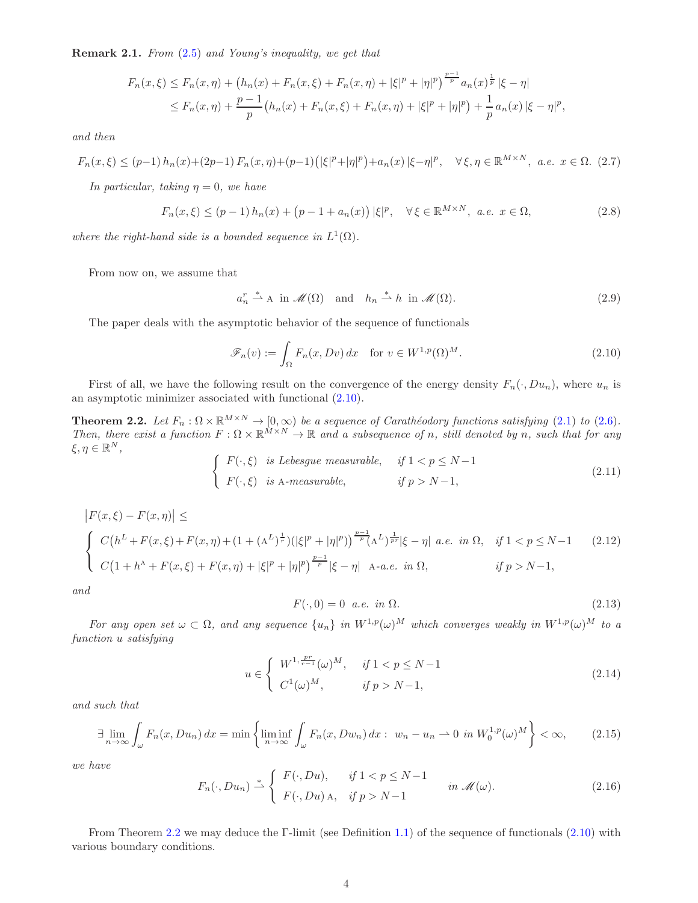Remark 2.1. From [\(2.5\)](#page-4-3) and Young's inequality, we get that

$$
F_n(x,\xi) \le F_n(x,\eta) + (h_n(x) + F_n(x,\xi) + F_n(x,\eta) + |\xi|^p + |\eta|^p)^{\frac{p-1}{p}} a_n(x)^{\frac{1}{p}} |\xi - \eta|
$$
  
\n
$$
\le F_n(x,\eta) + \frac{p-1}{p} (h_n(x) + F_n(x,\xi) + F_n(x,\eta) + |\xi|^p + |\eta|^p) + \frac{1}{p} a_n(x) |\xi - \eta|^p,
$$

and then

<span id="page-5-9"></span>
$$
F_n(x,\xi) \le (p-1) \, h_n(x) + (2p-1) \, F_n(x,\eta) + (p-1) \left( |\xi|^p + |\eta|^p \right) + a_n(x) \, |\xi - \eta|^p, \quad \forall \, \xi, \eta \in \mathbb{R}^{M \times N}, \ a.e. \ x \in \Omega. \tag{2.7}
$$

In particular, taking  $\eta = 0$ , we have

<span id="page-5-8"></span>
$$
F_n(x,\xi) \le (p-1)h_n(x) + (p-1 + a_n(x))|\xi|^p, \quad \forall \xi \in \mathbb{R}^{M \times N}, \ a.e. \ x \in \Omega,
$$
\n(2.8)

where the right-hand side is a bounded sequence in  $L^1(\Omega)$ .

From now on, we assume that

 $a_n^r \stackrel{*}{\rightharpoonup} A$  in  $\mathscr{M}(\Omega)$  and  $h_n \stackrel{*}{\rightharpoonup} h$  in  $\mathscr{M}(\Omega)$ . (2.9)

The paper deals with the asymptotic behavior of the sequence of functionals

<span id="page-5-2"></span>
$$
\mathscr{F}_n(v) := \int_{\Omega} F_n(x, Dv) dx \quad \text{for } v \in W^{1,p}(\Omega)^M.
$$
\n(2.10)

First of all, we have the following result on the convergence of the energy density  $F_n(\cdot, Du_n)$ , where  $u_n$  is an asymptotic minimizer associated with functional [\(2.10\)](#page-5-2).

<span id="page-5-0"></span>**Theorem 2.2.** Let  $F_n : \Omega \times \mathbb{R}^{M \times N} \to [0, \infty)$  be a sequence of Carathéodory functions satisfying [\(2.1\)](#page-4-0) to [\(2.6\)](#page-4-1). Then, there exist a function  $F: \Omega \times \mathbb{R}^{M \times N} \to \mathbb{R}$  and a subsequence of n, still denoted by n, such that for any  $\xi, \eta \in \mathbb{R}^N$ ,

<span id="page-5-5"></span>
$$
\begin{cases}\nF(\cdot,\xi) & \text{is Lebesgue measurable,} \\
F(\cdot,\xi) & \text{is A-measurable,} \\
\end{cases} \quad \text{if } 1 < p \le N-1,\n\tag{2.11}
$$

<span id="page-5-6"></span>
$$
\begin{cases}\n|F(x,\xi) - F(x,\eta)| \leq \\
C(h^L + F(x,\xi) + F(x,\eta) + (1 + (A^L)^{\frac{1}{r}})(|\xi|^p + |\eta|^p))^{\frac{p-1}{p}}(A^L)^{\frac{1}{pr}}|\xi - \eta| \ a.e. \ in \ \Omega, \quad \text{if } 1 < p \leq N - 1 \\
C(1 + h^A + F(x,\xi) + F(x,\eta) + |\xi|^p + |\eta|^p)^{\frac{p-1}{p}}|\xi - \eta| \quad \text{A-a.e. in \ \Omega}, \quad \text{if } p > N - 1,\n\end{cases} \tag{2.12}
$$

and

<span id="page-5-7"></span>
$$
F(\cdot,0) = 0 \quad a.e. \quad in \ \Omega. \tag{2.13}
$$

For any open set  $\omega \subset \Omega$ , and any sequence  $\{u_n\}$  in  $W^{1,p}(\omega)^M$  which converges weakly in  $W^{1,p}(\omega)^M$  to a function u satisfying

<span id="page-5-4"></span>
$$
u \in \begin{cases} W^{1, \frac{pr}{r-1}}(\omega)^M, & \text{if } 1 < p \le N-1 \\ C^1(\omega)^M, & \text{if } p > N-1, \end{cases}
$$
 (2.14)

and such that

<span id="page-5-1"></span>
$$
\exists \lim_{n \to \infty} \int_{\omega} F_n(x, Du_n) dx = \min \left\{ \liminf_{n \to \infty} \int_{\omega} F_n(x, Dw_n) dx : w_n - u_n \to 0 \text{ in } W_0^{1,p}(\omega)^M \right\} < \infty,
$$
 (2.15)

we have

<span id="page-5-3"></span>
$$
F_n(\cdot, Du_n) \stackrel{*}{\rightharpoonup} \left\{ \begin{array}{ll} F(\cdot, Du), & \text{if } 1 < p \le N - 1 \\ F(\cdot, Du), & \text{if } p > N - 1 \end{array} \right. \quad \text{in } \mathcal{M}(\omega). \tag{2.16}
$$

From Theorem [2.2](#page-5-0) we may deduce the Γ-limit (see Definition [1.1\)](#page-4-2) of the sequence of functionals [\(2.10\)](#page-5-2) with various boundary conditions.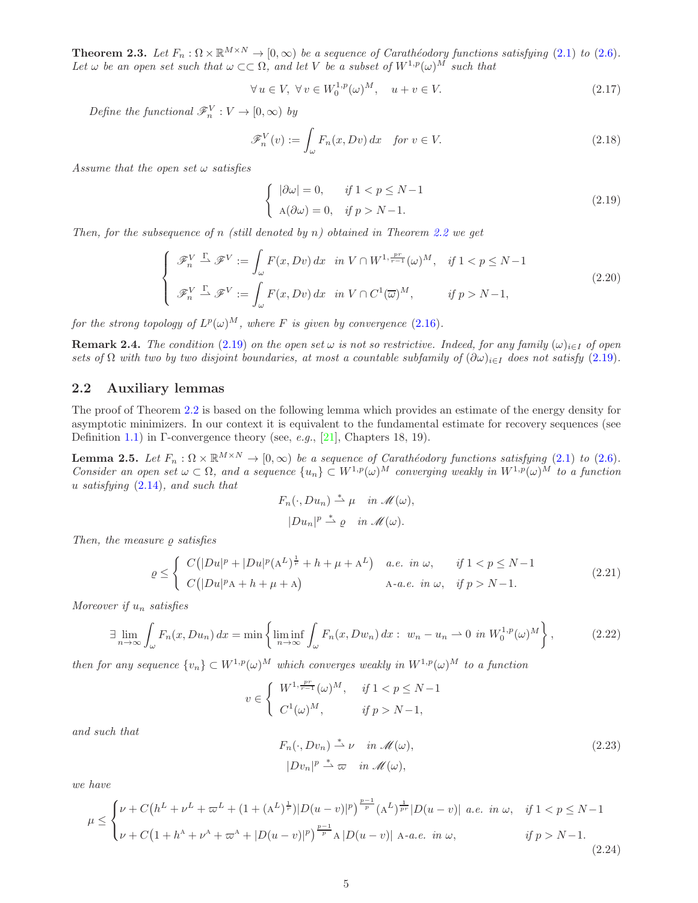<span id="page-6-0"></span>**Theorem 2.3.** Let  $F_n : \Omega \times \mathbb{R}^{M \times N} \to [0, \infty)$  be a sequence of Carathéodory functions satisfying [\(2.1\)](#page-4-0) to [\(2.6\)](#page-4-1). Let  $\omega$  be an open set such that  $\omega \subset\subset \Omega$ , and let V be a subset of  $W^{1,p}(\omega)^M$  such that

<span id="page-6-6"></span>
$$
\forall u \in V, \ \forall v \in W_0^{1,p}(\omega)^M, \quad u + v \in V. \tag{2.17}
$$

Define the functional  $\mathscr{F}_n^V : V \to [0, \infty)$  by

<span id="page-6-7"></span>
$$
\mathscr{F}_n^V(v) := \int_{\omega} F_n(x, Dv) \, dx \quad \text{for } v \in V. \tag{2.18}
$$

Assume that the open set  $\omega$  satisfies

<span id="page-6-3"></span>
$$
\begin{cases}\n|\partial \omega| = 0, & \text{if } 1 < p \le N - 1 \\
\text{A}(\partial \omega) = 0, & \text{if } p > N - 1.\n\end{cases}
$$
\n(2.19)

Then, for the subsequence of n (still denoted by n) obtained in Theorem [2.2](#page-5-0) we get

<span id="page-6-8"></span>
$$
\begin{cases}\n\mathscr{F}_{n}^{V} \xrightarrow{\Gamma} \mathscr{F}^{V} := \int_{\omega} F(x, Dv) dx & \text{in } V \cap W^{1, \frac{pr}{r-1}}(\omega)^{M}, \quad \text{if } 1 < p \le N-1 \\
\mathscr{F}_{n}^{V} \xrightarrow{\Gamma} \mathscr{F}^{V} := \int_{\omega} F(x, Dv) dx & \text{in } V \cap C^{1}(\overline{\omega})^{M}, \quad \text{if } p > N-1,\n\end{cases}
$$
\n(2.20)

for the strong topology of  $L^p(\omega)^M$ , where F is given by convergence  $(2.16)$ .

**Remark 2.4.** The condition [\(2.19\)](#page-6-3) on the open set  $\omega$  is not so restrictive. Indeed, for any family  $(\omega)_{i\in I}$  of open sets of  $\Omega$  with two by two disjoint boundaries, at most a countable subfamily of  $(\partial\omega)_{i\in I}$  does not satisfy [\(2.19\)](#page-6-3).

## 2.2 Auxiliary lemmas

The proof of Theorem [2.2](#page-5-0) is based on the following lemma which provides an estimate of the energy density for asymptotic minimizers. In our context it is equivalent to the fundamental estimate for recovery sequences (see Definition [1.1\)](#page-4-2) in Γ-convergence theory (see, *e.g.*, [\[21\]](#page-18-1), Chapters 18, 19).

<span id="page-6-1"></span>**Lemma 2.5.** Let  $F_n : \Omega \times \mathbb{R}^{M \times N} \to [0, \infty)$  be a sequence of Carathéodory functions satisfying [\(2.1\)](#page-4-0) to [\(2.6\)](#page-4-1). Consider an open set  $\omega \subset \Omega$ , and a sequence  $\{u_n\} \subset W^{1,p}(\omega)^M$  converging weakly in  $W^{1,p}(\omega)^M$  to a function u satisfying  $(2.14)$ , and such that

$$
F_n(\cdot, Du_n) \stackrel{*}{\rightharpoonup} \mu \quad \text{in } \mathcal{M}(\omega),
$$
  

$$
|Du_n|^p \stackrel{*}{\rightharpoonup} \varrho \quad \text{in } \mathcal{M}(\omega).
$$

Then, the measure  $\rho$  satisfies

<span id="page-6-5"></span>
$$
\varrho \leq \begin{cases} C\left(|Du|^p + |Du|^p(\mathbf{A}^L)^{\frac{1}{r}} + h + \mu + \mathbf{A}^L\right) & a.e. \in \mathcal{M}, & \text{if } 1 < p \leq N - 1 \\ C\left(|Du|^p\mathbf{A} + h + \mu + \mathbf{A}\right) & \mathbf{A}\text{-}a.e. \in \mathcal{M}, & \text{if } p > N - 1. \end{cases} \tag{2.21}
$$

Moreover if  $u_n$  satisfies

<span id="page-6-4"></span>
$$
\exists \lim_{n \to \infty} \int_{\omega} F_n(x, Du_n) dx = \min \left\{ \liminf_{n \to \infty} \int_{\omega} F_n(x, Dw_n) dx : w_n - u_n \to 0 \text{ in } W_0^{1,p}(\omega)^M \right\},
$$
(2.22)

then for any sequence  $\{v_n\} \subset W^{1,p}(\omega)^M$  which converges weakly in  $W^{1,p}(\omega)^M$  to a function

$$
v \in \begin{cases} W^{1, \frac{pr}{r-1}}(\omega)^M, & \text{if } 1 < p \le N-1 \\ C^1(\omega)^M, & \text{if } p > N-1, \end{cases}
$$

and such that

<span id="page-6-9"></span>
$$
F_n(\cdot, Dv_n) \stackrel{*}{\rightharpoonup} \nu \quad \text{in } \mathcal{M}(\omega),
$$
  

$$
|Dv_n|^p \stackrel{*}{\rightharpoonup} \varpi \quad \text{in } \mathcal{M}(\omega),
$$
 (2.23)

we have

<span id="page-6-2"></span>
$$
\mu \leq \begin{cases} \nu + C\left(h^{L} + \nu^{L} + \varpi^{L} + (1 + (A^{L})^{\frac{1}{r}})|D(u-v)|^{p}\right)^{\frac{p-1}{p}}(A^{L})^{\frac{1}{pr}}|D(u-v)| \text{ a.e. in } \omega, \quad \text{if } 1 < p \leq N-1 \\ \nu + C(1 + h^{A} + \nu^{A} + \varpi^{A} + |D(u-v)|^{p})^{\frac{p-1}{p}}A|D(u-v)| \text{ A-a.e. in } \omega, \quad \text{if } p > N-1. \end{cases}
$$
\n(2.24)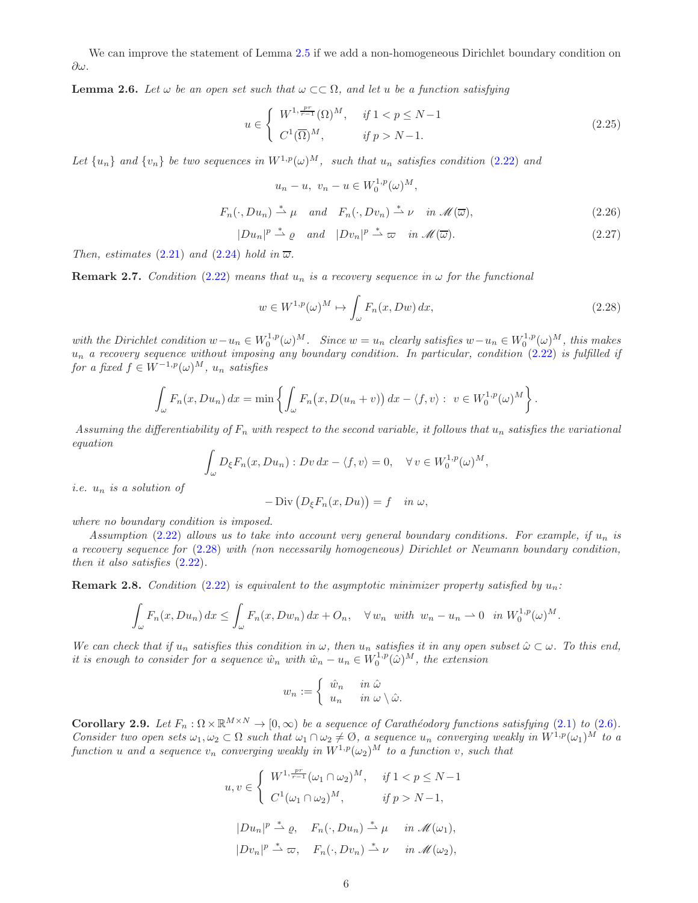We can improve the statement of Lemma [2.5](#page-6-1) if we add a non-homogeneous Dirichlet boundary condition on ∂ω.

<span id="page-7-5"></span>**Lemma 2.6.** Let  $\omega$  be an open set such that  $\omega \subset\subset \Omega$ , and let u be a function satisfying

<span id="page-7-2"></span>
$$
u \in \begin{cases} W^{1, \frac{pr}{r-1}}(\Omega)^M, & \text{if } 1 < p \le N-1 \\ C^1(\overline{\Omega})^M, & \text{if } p > N-1. \end{cases}
$$
 (2.25)

Let  $\{u_n\}$  and  $\{v_n\}$  be two sequences in  $W^{1,p}(\omega)^M$ , such that  $u_n$  satisfies condition [\(2.22\)](#page-6-4) and

$$
u_n - u, \ v_n - u \in W_0^{1,p}(\omega)^M,
$$
  

$$
F_n(\cdot, Du_n) \stackrel{*}{\rightharpoonup} \mu \quad and \quad F_n(\cdot, Dv_n) \stackrel{*}{\rightharpoonup} \nu \quad in \mathscr{M}(\overline{\omega}), \tag{2.26}
$$

<span id="page-7-4"></span><span id="page-7-3"></span>
$$
|Du_n|^p \stackrel{*}{\rightharpoonup} \varrho \quad \text{and} \quad |Dv_n|^p \stackrel{*}{\rightharpoonup} \varpi \quad \text{in } \mathcal{M}(\overline{\omega}). \tag{2.27}
$$

Then, estimates [\(2.21\)](#page-6-5) and [\(2.24\)](#page-6-2) hold in  $\overline{\omega}$ .

<span id="page-7-6"></span>**Remark 2.7.** Condition [\(2.22\)](#page-6-4) means that  $u_n$  is a recovery sequence in  $\omega$  for the functional

<span id="page-7-0"></span>
$$
w \in W^{1,p}(\omega)^M \mapsto \int_{\omega} F_n(x, Dw) \, dx,\tag{2.28}
$$

.

with the Dirichlet condition  $w-u_n \in W_0^{1,p}(\omega)^M$ . Since  $w=u_n$  clearly satisfies  $w-u_n \in W_0^{1,p}(\omega)^M$ , this makes  $u_n$  a recovery sequence without imposing any boundary condition. In particular, condition [\(2.22\)](#page-6-4) is fulfilled if for a fixed  $f \in W^{-1,p}(\omega)^M$ ,  $u_n$  satisfies

$$
\int_{\omega} F_n(x, Du_n) dx = \min \left\{ \int_{\omega} F_n(x, D(u_n + v)) dx - \langle f, v \rangle : v \in W_0^{1,p}(\omega)^M \right\}
$$

Assuming the differentiability of  $F_n$  with respect to the second variable, it follows that  $u_n$  satisfies the variational equation

$$
\int_{\omega} D_{\xi} F_n(x, Du_n) : Dv \, dx - \langle f, v \rangle = 0, \quad \forall v \in W_0^{1,p}(\omega)^M,
$$

*i.e.*  $u_n$  *is a solution of* 

$$
- \operatorname{Div} (D_{\xi} F_n(x, Du)) = f \quad \text{in } \omega,
$$

where no boundary condition is imposed.

Assumption [\(2.22\)](#page-6-4) allows us to take into account very general boundary conditions. For example, if  $u_n$  is a recovery sequence for [\(2.28\)](#page-7-0) with (non necessarily homogeneous) Dirichlet or Neumann boundary condition, then it also satisfies [\(2.22\)](#page-6-4).

**Remark 2.8.** Condition [\(2.22\)](#page-6-4) is equivalent to the asymptotic minimizer property satisfied by  $u_n$ :

$$
\int_{\omega} F_n(x, Du_n) dx \le \int_{\omega} F_n(x, Dw_n) dx + O_n, \quad \forall w_n \text{ with } w_n - u_n \to 0 \text{ in } W_0^{1,p}(\omega)^M.
$$

We can check that if  $u_n$  satisfies this condition in  $\omega$ , then  $u_n$  satisfies it in any open subset  $\hat{\omega} \subset \omega$ . To this end, it is enough to consider for a sequence  $\hat{w}_n$  with  $\hat{w}_n - u_n \in W_0^{1,p}(\hat{\omega})^M$ , the extension

$$
w_n := \begin{cases} \hat{w}_n & \text{in } \hat{\omega} \\ u_n & \text{in } \omega \setminus \hat{\omega}. \end{cases}
$$

<span id="page-7-1"></span>**Corollary 2.9.** Let  $F_n : \Omega \times \mathbb{R}^{M \times N} \to [0, \infty)$  be a sequence of Carathéodory functions satisfying [\(2.1\)](#page-4-0) to [\(2.6\)](#page-4-1). Consider two open sets  $\omega_1, \omega_2 \subset \Omega$  such that  $\omega_1 \cap \omega_2 \neq \emptyset$ , a sequence  $u_n$  converging weakly in  $W^{1,p}(\omega_1)^M$  to a function u and a sequence  $v_n$  converging weakly in  $W^{1,p}(\omega_2)^M$  to a function v, such that

$$
u, v \in \begin{cases} W^{1, \frac{pr}{r-1}}(\omega_1 \cap \omega_2)^M, & \text{if } 1 < p \le N-1 \\ C^1(\omega_1 \cap \omega_2)^M, & \text{if } p > N-1, \end{cases}
$$

$$
|Du_n|^p \stackrel{*}{\rightharpoonup} \varrho, \quad F_n(\cdot, Du_n) \stackrel{*}{\rightharpoonup} \mu \quad \text{in } \mathcal{M}(\omega_1),
$$

$$
|Dv_n|^p \stackrel{*}{\rightharpoonup} \varpi, \quad F_n(\cdot, Dv_n) \stackrel{*}{\rightharpoonup} \nu \quad \text{in } \mathcal{M}(\omega_2),
$$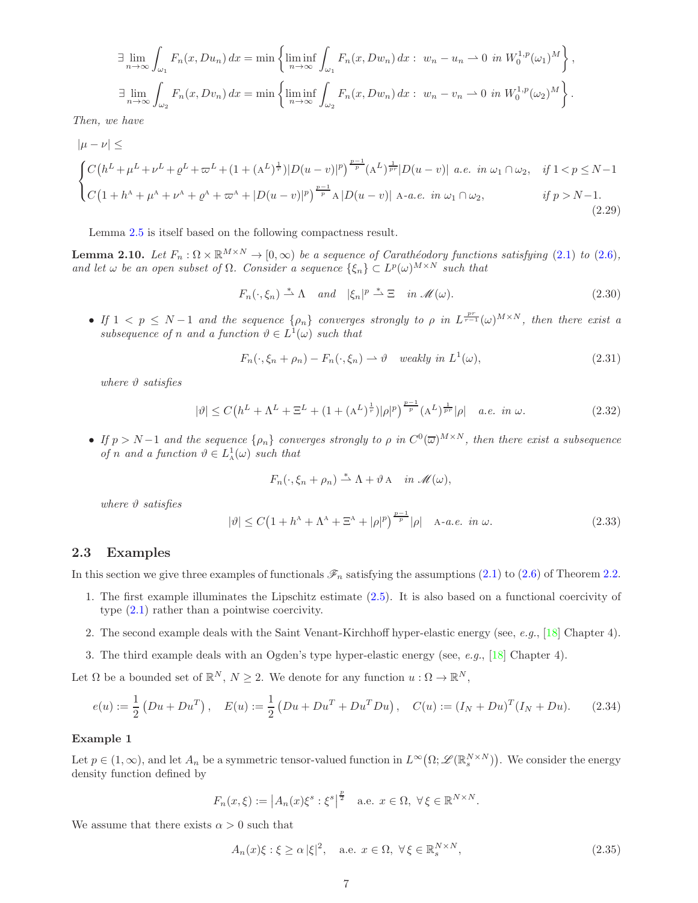$$
\exists \lim_{n \to \infty} \int_{\omega_1} F_n(x, Du_n) dx = \min \left\{ \liminf_{n \to \infty} \int_{\omega_1} F_n(x, Dw_n) dx : w_n - u_n \to 0 \text{ in } W_0^{1,p}(\omega_1)^M \right\},
$$
  

$$
\exists \lim_{n \to \infty} \int_{\omega_2} F_n(x, Dv_n) dx = \min \left\{ \liminf_{n \to \infty} \int_{\omega_2} F_n(x, Dw_n) dx : w_n - v_n \to 0 \text{ in } W_0^{1,p}(\omega_2)^M \right\}.
$$

Then, we have

<span id="page-8-4"></span>
$$
|\mu - \nu| \le
$$
\n
$$
\begin{cases}\nC(h^{L} + \mu^{L} + \nu^{L} + \varrho^{L} + \varpi^{L} + (1 + (A^{L})^{\frac{1}{r}})|D(u - v)|^{p}\right)^{\frac{p-1}{p}}(A^{L})^{\frac{1}{pr}}|D(u - v)| a.e. \text{ in } \omega_{1} \cap \omega_{2}, & \text{if } 1 < p \le N - 1 \\
C(1 + h^{\lambda} + \mu^{\lambda} + \nu^{\lambda} + \varrho^{\lambda} + \varpi^{\lambda} + |D(u - v)|^{p}\right)^{\frac{p-1}{p}}A|D(u - v)| A-a.e. \text{ in } \omega_{1} \cap \omega_{2}, & \text{if } p > N - 1.\n\end{cases}
$$
\n(2.29)

Lemma [2.5](#page-6-1) is itself based on the following compactness result.

<span id="page-8-1"></span>**Lemma 2.10.** Let  $F_n : \Omega \times \mathbb{R}^{M \times N} \to [0, \infty)$  be a sequence of Carathéodory functions satisfying [\(2.1\)](#page-4-0) to [\(2.6\)](#page-4-1), and let  $\omega$  be an open subset of  $\Omega$ . Consider a sequence  $\{\xi_n\} \subset L^p(\omega)^{M \times N}$  such that

<span id="page-8-6"></span>
$$
F_n(\cdot,\xi_n) \stackrel{*}{\rightharpoonup} \Lambda \quad \text{and} \quad |\xi_n|^p \stackrel{*}{\rightharpoonup} \Xi \quad \text{in } \mathscr{M}(\omega). \tag{2.30}
$$

• If  $1 \leq p \leq N-1$  and the sequence  $\{\rho_n\}$  converges strongly to  $\rho$  in  $L^{\frac{pr}{r-1}}(\omega)^{M\times N}$ , then there exist a subsequence of n and a function  $\vartheta \in L^1(\omega)$  such that

<span id="page-8-5"></span>
$$
F_n(\cdot, \xi_n + \rho_n) - F_n(\cdot, \xi_n) \rightharpoonup \vartheta \quad weakly \ in \ L^1(\omega), \tag{2.31}
$$

where  $\vartheta$  satisfies

<span id="page-8-7"></span>
$$
|\vartheta| \le C\left(h^L + \Lambda^L + \Xi^L + (1 + (A^L)^{\frac{1}{r}})|\rho|^p\right)^{\frac{p-1}{p}}(A^L)^{\frac{1}{pr}}|\rho| \quad a.e. \infty. \tag{2.32}
$$

• If  $p > N-1$  and the sequence  $\{\rho_n\}$  converges strongly to  $\rho$  in  $C^0(\overline{\omega})^{M\times N}$ , then there exist a subsequence of n and a function  $\vartheta \in L^1_{\mathcal{A}}(\omega)$  such that

$$
F_n(\cdot,\xi_n+\rho_n)\stackrel{*}{\rightharpoonup}\Lambda+\vartheta\mathbf{A}\quad\text{in}\ \mathscr{M}(\omega),
$$

where  $\vartheta$  satisfies

<span id="page-8-8"></span>
$$
|\vartheta| \le C\left(1 + h^{\mathcal{A}} + \Lambda^{\mathcal{A}} + \Xi^{\mathcal{A}} + |\rho|^p\right)^{\frac{p-1}{p}}|\rho| \quad \text{A-a.e. in } \omega. \tag{2.33}
$$

#### <span id="page-8-0"></span>2.3 Examples

In this section we give three examples of functionals  $\mathscr{F}_n$  satisfying the assumptions [\(2.1\)](#page-4-0) to [\(2.6\)](#page-4-1) of Theorem [2.2.](#page-5-0)

- 1. The first example illuminates the Lipschitz estimate [\(2.5\)](#page-4-3). It is also based on a functional coercivity of type [\(2.1\)](#page-4-0) rather than a pointwise coercivity.
- 2. The second example deals with the Saint Venant-Kirchhoff hyper-elastic energy (see, e.g., [\[18\]](#page-18-17) Chapter 4).
- 3. The third example deals with an Ogden's type hyper-elastic energy (see, e.g., [\[18\]](#page-18-17) Chapter 4).

Let  $\Omega$  be a bounded set of  $\mathbb{R}^N$ ,  $N \geq 2$ . We denote for any function  $u : \Omega \to \mathbb{R}^N$ ,

<span id="page-8-3"></span>
$$
e(u) := \frac{1}{2} \left( Du + Du^{T} \right), \quad E(u) := \frac{1}{2} \left( Du + Du^{T} + Du^{T} Du \right), \quad C(u) := (I_{N} + Du)^{T} (I_{N} + Du). \tag{2.34}
$$

#### Example 1

Let  $p \in (1,\infty)$ , and let  $A_n$  be a symmetric tensor-valued function in  $L^\infty(\Omega;\mathscr{L}(\mathbb{R}^{N\times N}_s))$ . We consider the energy density function defined by

$$
F_n(x,\xi) := \left| A_n(x)\xi^s : \xi^s \right|^{\frac{p}{2}} \quad \text{a.e. } x \in \Omega, \ \forall \xi \in \mathbb{R}^{N \times N}.
$$

We assume that there exists  $\alpha > 0$  such that

<span id="page-8-2"></span>
$$
A_n(x)\xi : \xi \ge \alpha |\xi|^2, \quad \text{a.e. } x \in \Omega, \ \forall \xi \in \mathbb{R}_s^{N \times N}, \tag{2.35}
$$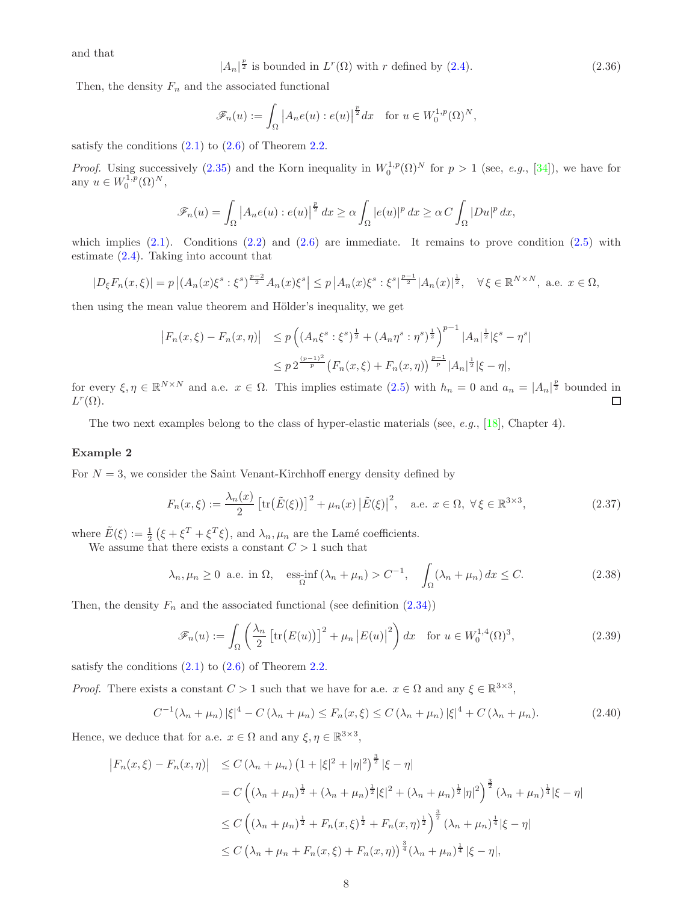and that

$$
|A_n|^{\frac{p}{2}} \text{ is bounded in } L^r(\Omega) \text{ with } r \text{ defined by (2.4).}
$$
 (2.36)

Then, the density  $F_n$  and the associated functional

$$
\mathscr{F}_n(u) := \int_{\Omega} \left| A_n e(u) : e(u) \right|^{\frac{p}{2}} dx \quad \text{for } u \in W_0^{1,p}(\Omega)^N,
$$

satisfy the conditions  $(2.1)$  to  $(2.6)$  of Theorem [2.2.](#page-5-0)

*Proof.* Using successively [\(2.35\)](#page-8-2) and the Korn inequality in  $W_0^{1,p}(\Omega)^N$  for  $p > 1$  (see, e.g., [\[34\]](#page-19-11)), we have for any  $u \in W_0^{1,p}(\Omega)^N$ ,

$$
\mathscr{F}_n(u) = \int_{\Omega} \left| A_n e(u) : e(u) \right|^{\frac{p}{2}} dx \ge \alpha \int_{\Omega} |e(u)|^p dx \ge \alpha C \int_{\Omega} |Du|^p dx,
$$

which implies  $(2.1)$ . Conditions  $(2.2)$  and  $(2.6)$  are immediate. It remains to prove condition  $(2.5)$  with estimate [\(2.4\)](#page-4-4). Taking into account that

$$
|D_{\xi}F_n(x,\xi)| = p |(A_n(x)\xi^s : \xi^s)^{\frac{p-2}{2}} A_n(x)\xi^s| \leq p |A_n(x)\xi^s : \xi^s|^{\frac{p-1}{2}} |A_n(x)|^{\frac{1}{2}}, \quad \forall \xi \in \mathbb{R}^{N \times N}, \text{ a.e. } x \in \Omega,
$$

then using the mean value theorem and Hölder's inequality, we get

$$
\begin{aligned} \left| F_n(x,\xi) - F_n(x,\eta) \right| &\leq p \left( \left( A_n \xi^s : \xi^s \right)^{\frac{1}{2}} + \left( A_n \eta^s : \eta^s \right)^{\frac{1}{2}} \right)^{p-1} |A_n|^{\frac{1}{2}} |\xi^s - \eta^s| \\ &\leq p \, 2^{\frac{(p-1)^2}{p}} \left( F_n(x,\xi) + F_n(x,\eta) \right)^{\frac{p-1}{p}} |A_n|^{\frac{1}{2}} |\xi - \eta|, \end{aligned}
$$

for every  $\xi, \eta \in \mathbb{R}^{N \times N}$  and a.e.  $x \in \Omega$ . This implies estimate  $(2.5)$  with  $h_n = 0$  and  $a_n = |A_n|^{\frac{p}{2}}$  bounded in  $L^r(\Omega)$ .  $\Box$ 

The two next examples belong to the class of hyper-elastic materials (see, e.g., [\[18\]](#page-18-17), Chapter 4).

#### Example 2

For  $N = 3$ , we consider the Saint Venant-Kirchhoff energy density defined by

<span id="page-9-3"></span>
$$
F_n(x,\xi) := \frac{\lambda_n(x)}{2} \left[ \text{tr}\big(\tilde{E}(\xi)\big)\right]^2 + \mu_n(x) \left|\tilde{E}(\xi)\right|^2, \quad \text{a.e. } x \in \Omega, \ \forall \xi \in \mathbb{R}^{3 \times 3},\tag{2.37}
$$

where  $\tilde{E}(\xi) := \frac{1}{2} (\xi + \xi^T + \xi^T \xi)$ , and  $\lambda_n, \mu_n$  are the Lamé coefficients.

We assume that there exists a constant  $C > 1$  such that

<span id="page-9-0"></span>
$$
\lambda_n, \mu_n \ge 0
$$
 a.e. in  $\Omega$ , ess-int $(\lambda_n + \mu_n) > C^{-1}$ ,  $\int_{\Omega} (\lambda_n + \mu_n) dx \le C$ . (2.38)

Then, the density  $F_n$  and the associated functional (see definition  $(2.34)$ )

<span id="page-9-2"></span>
$$
\mathscr{F}_n(u) := \int_{\Omega} \left( \frac{\lambda_n}{2} \left[ \text{tr}\big(E(u)\big)\right]^2 + \mu_n \left| E(u) \right|^2 \right) dx \quad \text{for } u \in W_0^{1,4}(\Omega)^3,
$$
\n(2.39)

satisfy the conditions  $(2.1)$  to  $(2.6)$  of Theorem [2.2.](#page-5-0)

*Proof.* There exists a constant  $C > 1$  such that we have for a.e.  $x \in \Omega$  and any  $\xi \in \mathbb{R}^{3 \times 3}$ ,

<span id="page-9-1"></span>
$$
C^{-1}(\lambda_n + \mu_n) |\xi|^4 - C(\lambda_n + \mu_n) \le F_n(x, \xi) \le C(\lambda_n + \mu_n) |\xi|^4 + C(\lambda_n + \mu_n). \tag{2.40}
$$

Hence, we deduce that for a.e.  $x \in \Omega$  and any  $\xi, \eta \in \mathbb{R}^{3 \times 3}$ ,

$$
\begin{aligned}\n\left|F_n(x,\xi) - F_n(x,\eta)\right| &\le C\left(\lambda_n + \mu_n\right) \left(1 + |\xi|^2 + |\eta|^2\right)^{\frac{3}{2}} |\xi - \eta| \\
&= C\left(\left(\lambda_n + \mu_n\right)^{\frac{1}{2}} + \left(\lambda_n + \mu_n\right)^{\frac{1}{2}} |\xi|^2 + \left(\lambda_n + \mu_n\right)^{\frac{1}{2}} |\eta|^2\right)^{\frac{3}{2}} \left(\lambda_n + \mu_n\right)^{\frac{1}{4}} |\xi - \eta| \\
&\le C\left(\left(\lambda_n + \mu_n\right)^{\frac{1}{2}} + F_n(x,\xi)^{\frac{1}{2}} + F_n(x,\eta)^{\frac{1}{2}}\right)^{\frac{3}{2}} \left(\lambda_n + \mu_n\right)^{\frac{1}{4}} |\xi - \eta| \\
&\le C\left(\lambda_n + \mu_n + F_n(x,\xi) + F_n(x,\eta)\right)^{\frac{3}{4}} \left(\lambda_n + \mu_n\right)^{\frac{1}{4}} |\xi - \eta|,\n\end{aligned}
$$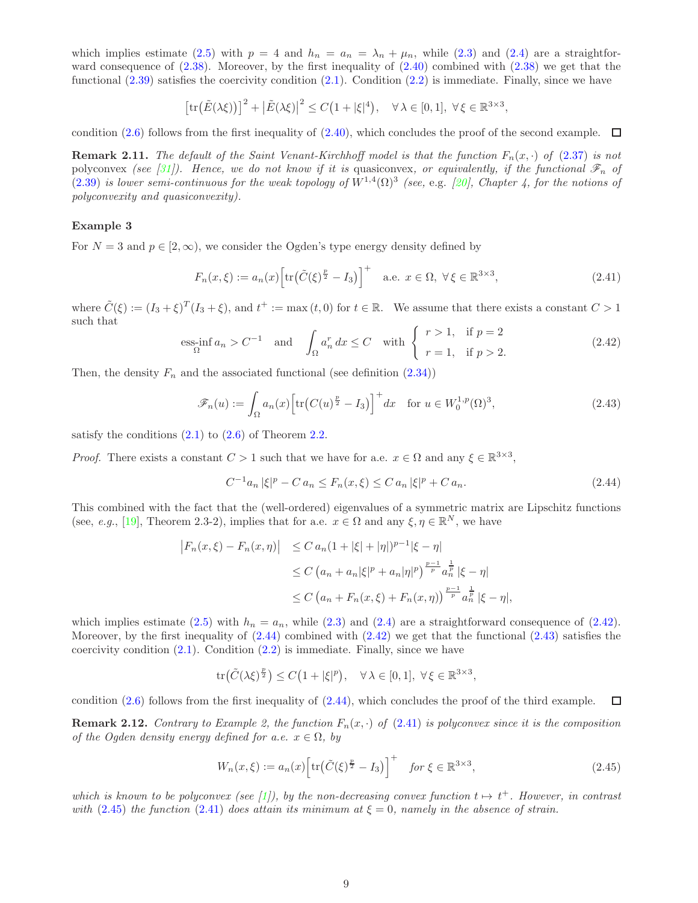which implies estimate [\(2.5\)](#page-4-3) with  $p = 4$  and  $h_n = a_n = \lambda_n + \mu_n$ , while [\(2.3\)](#page-4-6) and [\(2.4\)](#page-4-4) are a straightforward consequence of  $(2.38)$ . Moreover, by the first inequality of  $(2.40)$  combined with  $(2.38)$  we get that the functional  $(2.39)$  satisfies the coercivity condition  $(2.1)$ . Condition  $(2.2)$  is immediate. Finally, since we have

$$
\left[\text{tr}\big(\tilde{E}(\lambda\xi)\big)\right]^2 + \left|\tilde{E}(\lambda\xi)\right|^2 \le C\big(1 + |\xi|^4\big), \quad \forall \lambda \in [0,1], \ \forall \xi \in \mathbb{R}^{3 \times 3},
$$

condition [\(2.6\)](#page-4-1) follows from the first inequality of [\(2.40\)](#page-9-1), which concludes the proof of the second example.  $\Box$ 

**Remark 2.11.** The default of the Saint Venant-Kirchhoff model is that the function  $F_n(x, \cdot)$  of [\(2.37\)](#page-9-3) is not polyconvex (see [\[31\]](#page-19-12)). Hence, we do not know if it is quasiconvex, or equivalently, if the functional  $\mathscr{F}_n$  of [\(2.39\)](#page-9-2) is lower semi-continuous for the weak topology of  $W^{1,4}(\Omega)^3$  (see, e.g. [\[20\]](#page-18-18), Chapter 4, for the notions of polyconvexity and quasiconvexity).

#### Example 3

For  $N = 3$  and  $p \in [2, \infty)$ , we consider the Ogden's type energy density defined by

<span id="page-10-3"></span>
$$
F_n(x,\xi) := a_n(x) \Big[ \text{tr}\big(\tilde{C}(\xi)^{\frac{p}{2}} - I_3\big) \Big]^+ \quad \text{a.e. } x \in \Omega, \ \forall \xi \in \mathbb{R}^{3 \times 3}, \tag{2.41}
$$

where  $\tilde{C}(\xi) := (I_3 + \xi)^T (I_3 + \xi)$ , and  $t^+ := \max(t, 0)$  for  $t \in \mathbb{R}$ . We assume that there exists a constant  $C > 1$ such that

<span id="page-10-0"></span>
$$
\underset{\Omega}{\text{ess-in}} f a_n > C^{-1} \quad \text{and} \quad \int_{\Omega} a_n^r dx \le C \quad \text{with} \quad \left\{ \begin{array}{ll} r > 1, \quad \text{if } p = 2\\ r = 1, \quad \text{if } p > 2. \end{array} \right. \tag{2.42}
$$

Then, the density  $F_n$  and the associated functional (see definition  $(2.34)$ )

<span id="page-10-2"></span>
$$
\mathscr{F}_n(u) := \int_{\Omega} a_n(x) \left[ \text{tr}\big(C(u)^{\frac{p}{2}} - I_3\big) \right]^+ dx \quad \text{for } u \in W_0^{1,p}(\Omega)^3,
$$
\n(2.43)

satisfy the conditions  $(2.1)$  to  $(2.6)$  of Theorem [2.2.](#page-5-0)

*Proof.* There exists a constant  $C > 1$  such that we have for a.e.  $x \in \Omega$  and any  $\xi \in \mathbb{R}^{3 \times 3}$ ,

<span id="page-10-1"></span>
$$
C^{-1}a_n |\xi|^p - C a_n \le F_n(x,\xi) \le C a_n |\xi|^p + C a_n. \tag{2.44}
$$

This combined with the fact that the (well-ordered) eigenvalues of a symmetric matrix are Lipschitz functions (see, e.g., [\[19\]](#page-18-19), Theorem 2.3-2), implies that for a.e.  $x \in \Omega$  and any  $\xi, \eta \in \mathbb{R}^N$ , we have

$$
|F_n(x,\xi) - F_n(x,\eta)| \le C a_n (1 + |\xi| + |\eta|)^{p-1} |\xi - \eta|
$$
  
\n
$$
\le C \left( a_n + a_n |\xi|^p + a_n |\eta|^p \right)^{\frac{p-1}{p}} a_n^{\frac{1}{p}} |\xi - \eta|
$$
  
\n
$$
\le C \left( a_n + F_n(x,\xi) + F_n(x,\eta) \right)^{\frac{p-1}{p}} a_n^{\frac{1}{p}} |\xi - \eta|,
$$

which implies estimate [\(2.5\)](#page-4-3) with  $h_n = a_n$ , while [\(2.3\)](#page-4-6) and [\(2.4\)](#page-4-4) are a straightforward consequence of [\(2.42\)](#page-10-0). Moreover, by the first inequality of  $(2.44)$  combined with  $(2.42)$  we get that the functional  $(2.43)$  satisfies the coercivity condition  $(2.1)$ . Condition  $(2.2)$  is immediate. Finally, since we have

$$
\text{tr}\big(\tilde{C}(\lambda\xi)^{\frac{p}{2}}\big) \leq C\big(1+|\xi|^p\big), \quad \forall \,\lambda \in [0,1], \,\,\forall \,\xi \in \mathbb{R}^{3 \times 3},
$$

condition [\(2.6\)](#page-4-1) follows from the first inequality of [\(2.44\)](#page-10-1), which concludes the proof of the third example.  $\Box$ 

**Remark 2.12.** Contrary to Example 2, the function  $F_n(x, \cdot)$  of [\(2.41\)](#page-10-3) is polyconvex since it is the composition of the Ogden density energy defined for a.e.  $x \in \Omega$ , by

<span id="page-10-4"></span>
$$
W_n(x,\xi) := a_n(x) \left[ \text{tr}\big(\tilde{C}(\xi)^{\frac{p}{2}} - I_3\big) \right]^+ \quad \text{for } \xi \in \mathbb{R}^{3 \times 3},\tag{2.45}
$$

which is known to be polyconvex (see [\[1\]](#page-18-20)), by the non-decreasing convex function  $t \mapsto t^+$ . However, in contrast with [\(2.45\)](#page-10-4) the function [\(2.41\)](#page-10-3) does attain its minimum at  $\xi = 0$ , namely in the absence of strain.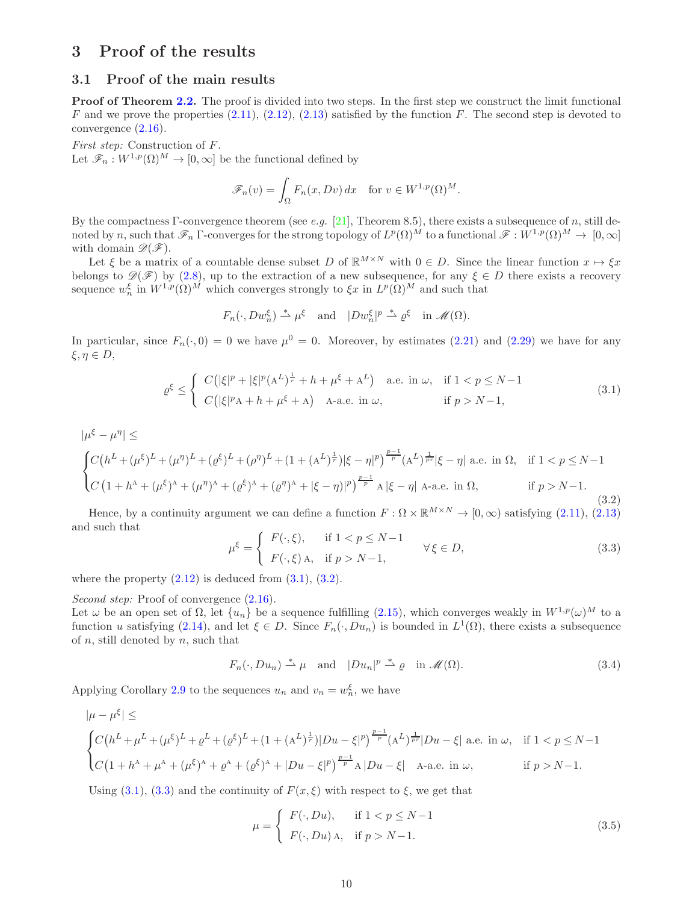## 3 Proof of the results

### 3.1 Proof of the main results

**Proof of Theorem [2.2.](#page-5-0)** The proof is divided into two steps. In the first step we construct the limit functional F and we prove the properties  $(2.11)$ ,  $(2.12)$ ,  $(2.13)$  satisfied by the function F. The second step is devoted to convergence [\(2.16\)](#page-5-3).

First step: Construction of F. Let  $\mathscr{F}_n : W^{1,p}(\Omega)^M \to [0,\infty]$  be the functional defined by

$$
\mathscr{F}_n(v) = \int_{\Omega} F_n(x, Dv) dx \quad \text{for } v \in W^{1,p}(\Omega)^M.
$$

By the compactness Γ-convergence theorem (see e.g. [\[21\]](#page-18-1), Theorem 8.5), there exists a subsequence of n, still denoted by n, such that  $\mathscr{F}_n$   $\Gamma$ -converges for the strong topology of  $L^p(\Omega)^{\tilde{M}}$  to a functional  $\mathscr{F}:W^{1,p}(\Omega)^M\to[0,\infty]$ with domain  $\mathscr{D}(\mathscr{F})$ .

Let  $\xi$  be a matrix of a countable dense subset D of  $\mathbb{R}^{M\times N}$  with  $0 \in D$ . Since the linear function  $x \mapsto \xi x$ belongs to  $\mathscr{D}(\mathscr{F})$  by [\(2.8\)](#page-5-8), up to the extraction of a new subsequence, for any  $\xi \in D$  there exists a recovery sequence  $w_n^{\xi}$  in  $W^{1,p}(\Omega)^M$  which converges strongly to  $\xi x$  in  $L^p(\Omega)^M$  and such that

$$
F_n(\cdot,Dw_n^{\xi}) \stackrel{*}{\rightharpoonup} \mu^{\xi} \text{ and } |Dw_n^{\xi}|^p \stackrel{*}{\rightharpoonup} \varrho^{\xi} \text{ in } \mathcal{M}(\Omega).
$$

In particular, since  $F_n(\cdot,0) = 0$  we have  $\mu^0 = 0$ . Moreover, by estimates [\(2.21\)](#page-6-5) and [\(2.29\)](#page-8-4) we have for any  $\xi, \eta \in D$ ,

<span id="page-11-0"></span>
$$
\varrho^{\xi} \leq \begin{cases} C\left(|\xi|^p + |\xi|^p (\mathbf{A}^L)^{\frac{1}{r}} + h + \mu^{\xi} + \mathbf{A}^L\right) & \text{a.e. in } \omega, & \text{if } 1 < p \leq N - 1 \\ C\left(|\xi|^p \mathbf{A} + h + \mu^{\xi} + \mathbf{A}\right) & \text{A-a.e. in } \omega, & \text{if } p > N - 1, \end{cases}
$$
\n(3.1)

<span id="page-11-1"></span>
$$
|\mu^{\xi} - \mu^{\eta}| \le
$$
  

$$
\begin{cases} C(h^{L} + (\mu^{\xi})^{L} + (\mu^{\eta})^{L} + (\varrho^{\xi})^{L} + (\rho^{\eta})^{L} + (1 + (A^{L})^{\frac{1}{r}})|\xi - \eta|^{p} \Big)^{\frac{p-1}{p}} (A^{L})^{\frac{1}{p r}} |\xi - \eta| \text{ a.e. in } \Omega, & \text{if } 1 < p \le N - 1 \\ C (1 + h^{\Lambda} + (\mu^{\xi})^{\Lambda} + (\mu^{\eta})^{\Lambda} + (\varrho^{\xi})^{\Lambda} + (\varrho^{\eta})^{\Lambda} + |\xi - \eta|)^{p} \Big)^{\frac{p-1}{p}} A |\xi - \eta| \text{ A-a.e. in } \Omega, & \text{if } p > N - 1. \end{cases}
$$
(3.2)

Hence, by a continuity argument we can define a function  $F : \Omega \times \mathbb{R}^{M \times N} \to [0, \infty)$  satisfying [\(2.11\)](#page-5-5), [\(2.13\)](#page-5-7) and such that

<span id="page-11-2"></span>
$$
\mu^{\xi} = \begin{cases} F(\cdot, \xi), & \text{if } 1 < p \le N - 1 \\ F(\cdot, \xi) \text{A}, & \text{if } p > N - 1, \end{cases} \quad \forall \xi \in D,\tag{3.3}
$$

where the property  $(2.12)$  is deduced from  $(3.1)$ ,  $(3.2)$ .

Second step: Proof of convergence  $(2.16)$ .

Let  $\omega$  be an open set of  $\Omega$ , let  $\{u_n\}$  be a sequence fulfilling [\(2.15\)](#page-5-1), which converges weakly in  $W^{1,p}(\omega)^M$  to a function u satisfying [\(2.14\)](#page-5-4), and let  $\xi \in D$ . Since  $F_n(\cdot, Du_n)$  is bounded in  $L^1(\Omega)$ , there exists a subsequence of  $n$ , still denoted by  $n$ , such that

<span id="page-11-3"></span>
$$
F_n(\cdot, Du_n) \stackrel{*}{\rightharpoonup} \mu
$$
 and  $|Du_n|^p \stackrel{*}{\rightharpoonup} \varrho$  in  $\mathcal{M}(\Omega)$ . 
$$
(3.4)
$$

Applying Corollary [2.9](#page-7-1) to the sequences  $u_n$  and  $v_n = w_n^{\xi}$ , we have

$$
|\mu - \mu^{\xi}| \le
$$
  

$$
\begin{cases} C(h^{L} + \mu^{L} + (\mu^{\xi})^{L} + \varrho^{L} + (\varrho^{\xi})^{L} + (1 + (A^{L})^{\frac{1}{r}})|Du - \xi|^{p} \Big)^{\frac{p-1}{p}} (A^{L})^{\frac{1}{p r}}|Du - \xi| & \text{a.e. in } \omega, \quad \text{if } 1 < p \le N - 1 \\ C(1 + h^{A} + \mu^{A} + (\mu^{\xi})^{A} + \varrho^{A} + (\varrho^{\xi})^{A} + |Du - \xi|^{p} \Big)^{\frac{p-1}{p}} A|Du - \xi| & \text{A-a.e. in } \omega, \quad \text{if } p > N - 1. \end{cases}
$$

Using [\(3.1\)](#page-11-0), [\(3.3\)](#page-11-2) and the continuity of  $F(x,\xi)$  with respect to  $\xi$ , we get that

<span id="page-11-4"></span>
$$
\mu = \begin{cases} F(\cdot, Du), & \text{if } 1 < p \le N - 1 \\ F(\cdot, Du) \land, & \text{if } p > N - 1. \end{cases}
$$
\n(3.5)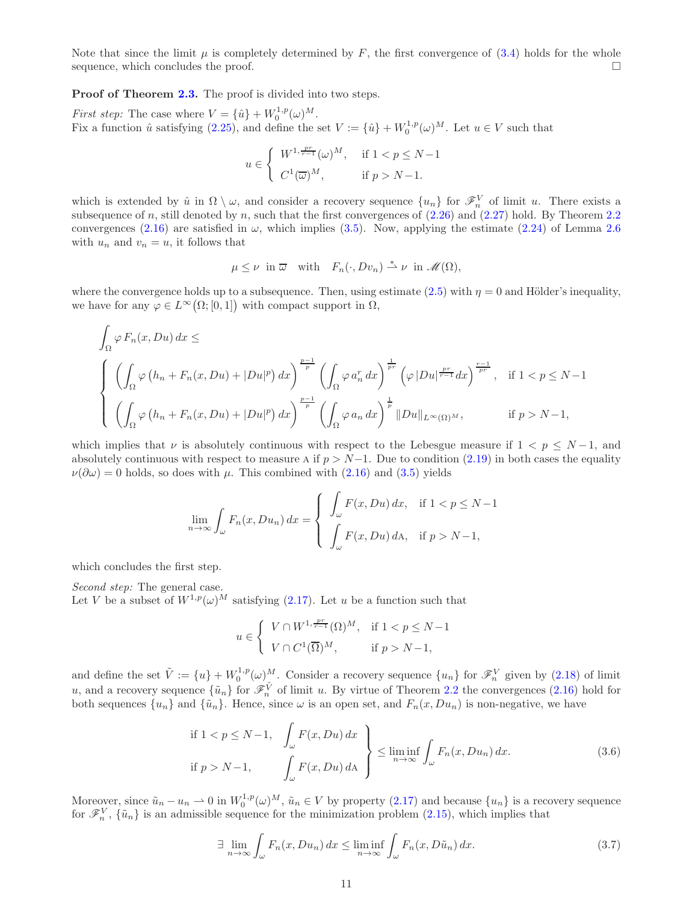Note that since the limit  $\mu$  is completely determined by F, the first convergence of [\(3.4\)](#page-11-3) holds for the whole sequence, which concludes the proof.

Proof of Theorem [2.3.](#page-6-0) The proof is divided into two steps.

*First step:* The case where  $V = {\hat{u}} + W_0^{1,p}(\omega)^M$ . First step. The case where  $V = \{u_f + W_0 \}$  ( $\omega$ ).<br>Fix a function  $\hat{u}$  satisfying [\(2.25\)](#page-7-2), and define the set  $V := \{\hat{u}\} + W_0^{1,p}(\omega)^M$ . Let  $u \in V$  such that

$$
u \in \begin{cases} W^{1, \frac{pr}{r-1}}(\omega)^M, & \text{if } 1 < p \le N-1 \\ C^1(\overline{\omega})^M, & \text{if } p > N-1. \end{cases}
$$

which is extended by  $\hat{u}$  in  $\Omega \setminus \omega$ , and consider a recovery sequence  $\{u_n\}$  for  $\mathscr{F}_n^V$  of limit u. There exists a subsequence of n, still denoted by n, such that the first convergences of  $(2.26)$  $(2.26)$  $(2.26)$  and  $(2.27)$  hold. By Theorem 2.2 convergences [\(2.16\)](#page-5-3) are satisfied in  $\omega$ , which implies [\(3.5\)](#page-11-4). Now, applying the estimate [\(2.24\)](#page-6-2) of Lemma [2.6](#page-7-5) with  $u_n$  and  $v_n = u$ , it follows that

$$
\mu \leq \nu \text{ in } \overline{\omega} \text{ with } F_n(\cdot, Dv_n) \stackrel{*}{\rightharpoonup} \nu \text{ in } \mathscr{M}(\Omega),
$$

where the convergence holds up to a subsequence. Then, using estimate [\(2.5\)](#page-4-3) with  $\eta = 0$  and Hölder's inequality, we have for any  $\varphi \in L^{\infty}(\Omega; [0, 1])$  with compact support in  $\Omega$ ,

$$
\int_{\Omega} \varphi F_n(x, Du) dx \le
$$
\n
$$
\left\{ \left( \int_{\Omega} \varphi \left( h_n + F_n(x, Du) + |Du|^p \right) dx \right)^{\frac{p-1}{p}} \left( \int_{\Omega} \varphi a_n^r dx \right)^{\frac{1}{p}} \left( \varphi |Du|^{\frac{pr}{r-1}} dx \right)^{\frac{r-1}{p}} , \text{ if } 1 < p \le N-1 \right\}
$$
\n
$$
\left( \int_{\Omega} \varphi \left( h_n + F_n(x, Du) + |Du|^p \right) dx \right)^{\frac{p-1}{p}} \left( \int_{\Omega} \varphi a_n dx \right)^{\frac{1}{p}} ||Du||_{L^{\infty}(\Omega)^M}, \text{ if } p > N-1,
$$

which implies that  $\nu$  is absolutely continuous with respect to the Lebesgue measure if  $1 \lt p \leq N-1$ , and absolutely continuous with respect to measure A if  $p > N-1$ . Due to condition [\(2.19\)](#page-6-3) in both cases the equality  $\nu(\partial \omega) = 0$  holds, so does with  $\mu$ . This combined with [\(2.16\)](#page-5-3) and [\(3.5\)](#page-11-4) yields

$$
\lim_{n \to \infty} \int_{\omega} F_n(x, Du_n) dx = \begin{cases} \int_{\omega} F(x, Du) dx, & \text{if } 1 < p \le N - 1 \\ \int_{\omega} F(x, Du) dA, & \text{if } p > N - 1, \end{cases}
$$

which concludes the first step.

Second step: The general case. Let V be a subset of  $W^{1,p}(\omega)^M$  satisfying [\(2.17\)](#page-6-6). Let u be a function such that

$$
u \in \begin{cases} V \cap W^{1, \frac{pr}{r-1}}(\Omega)^M, & \text{if } 1 < p \le N-1 \\ V \cap C^1(\overline{\Omega})^M, & \text{if } p > N-1, \end{cases}
$$

and define the set  $\tilde{V} := \{u\} + W_0^{1,p}(\omega)^M$ . Consider a recovery sequence  $\{u_n\}$  for  $\mathscr{F}_n^V$  given by  $(2.18)$  of limit u, and a recovery sequence  $\{\tilde{u}_n\}$  for  $\mathscr{F}_n^{\tilde{V}}$  of limit u. By virtue of Theorem [2.2](#page-5-0) the convergences [\(2.16\)](#page-5-3) hold for both sequences  $\{u_n\}$  and  $\{\tilde{u}_n\}$ . Hence, since  $\omega$  is an open set, and  $F_n(x, Du_n)$  is non-negative, we have

<span id="page-12-0"></span>if 
$$
1 < p \le N-1
$$
,  $\left\{\int_{\omega} F(x, Du) dx\right\}$   
if  $p > N-1$ ,  $\left\{\int_{\omega} F(x, Du) dA\right\} \le \liminf_{n \to \infty} \int_{\omega} F_n(x, Du_n) dx.$  (3.6)

Moreover, since  $\tilde{u}_n - u_n \rightharpoonup 0$  in  $W_0^{1,p}(\omega)^M$ ,  $\tilde{u}_n \in V$  by property  $(2.17)$  and because  $\{u_n\}$  is a recovery sequence for  $\mathscr{F}_n^V$ ,  $\{\tilde{u}_n\}$  is an admissible sequence for the minimization problem [\(2.15\)](#page-5-1), which implies that

<span id="page-12-1"></span>
$$
\exists \lim_{n \to \infty} \int_{\omega} F_n(x, Du_n) dx \le \liminf_{n \to \infty} \int_{\omega} F_n(x, D\tilde{u}_n) dx.
$$
 (3.7)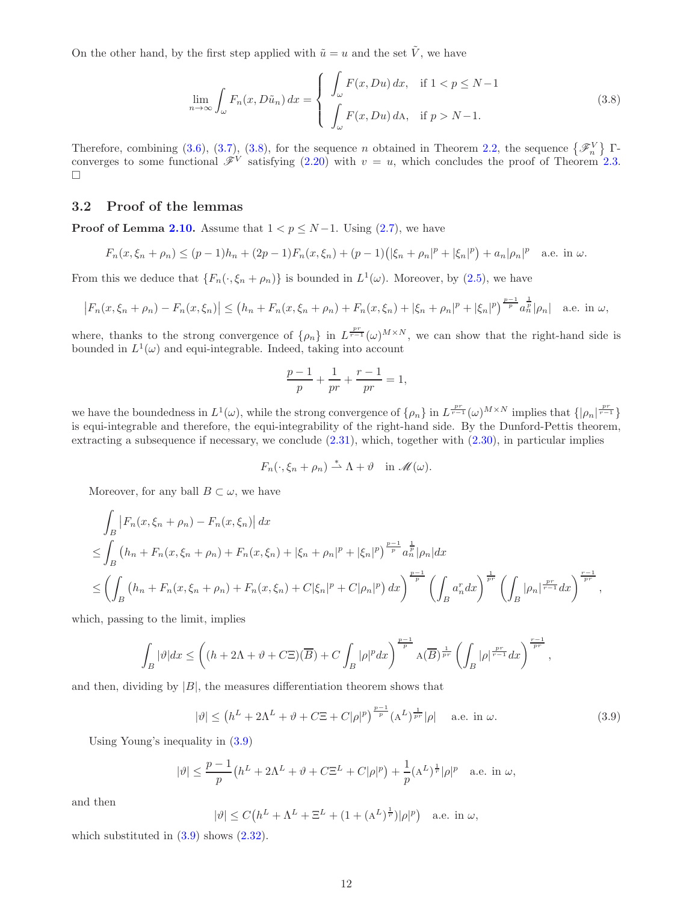On the other hand, by the first step applied with  $\tilde{u} = u$  and the set  $\tilde{V}$ , we have

<span id="page-13-0"></span>
$$
\lim_{n \to \infty} \int_{\omega} F_n(x, D\tilde{u}_n) dx = \begin{cases} \int_{\omega} F(x, Du) dx, & \text{if } 1 < p \le N - 1 \\ \int_{\omega} F(x, Du) dA, & \text{if } p > N - 1. \end{cases}
$$
\n(3.8)

Therefore, combining [\(3.6\)](#page-12-0), [\(3.7\)](#page-12-1), [\(3.8\)](#page-13-0), for the sequence n obtained in Theorem [2.2,](#page-5-0) the sequence  $\{\mathscr{F}_n^V\}$   $\Gamma$ converges to some functional  $\mathscr{F}^V$  satisfying [\(2.20\)](#page-6-8) with  $v = u$ , which concludes the proof of Theorem [2.3.](#page-6-0)  $\Box$ 

### 3.2 Proof of the lemmas

**Proof of Lemma [2.10.](#page-8-1)** Assume that  $1 < p \le N-1$ . Using [\(2.7\)](#page-5-9), we have

$$
F_n(x,\xi_n+\rho_n) \le (p-1)h_n + (2p-1)F_n(x,\xi_n) + (p-1)(|\xi_n+\rho_n|^p + |\xi_n|^p) + a_n|\rho_n|^p \quad \text{a.e. in } \omega.
$$

From this we deduce that  $\{F_n(\cdot,\xi_n+\rho_n)\}\$ is bounded in  $L^1(\omega)$ . Moreover, by [\(2.5\)](#page-4-3), we have

$$
\left|F_n(x,\xi_n+\rho_n)-F_n(x,\xi_n)\right|\leq (h_n+F_n(x,\xi_n+\rho_n)+F_n(x,\xi_n)+|\xi_n+\rho_n|^p+|\xi_n|^p)^{\frac{p-1}{p}}a_n^{\frac{1}{p}}|\rho_n|\quad\text{a.e. in }\omega,
$$

where, thanks to the strong convergence of  $\{\rho_n\}$  in  $L^{\frac{pr}{r-1}}(\omega)^{M\times N}$ , we can show that the right-hand side is bounded in  $L^1(\omega)$  and equi-integrable. Indeed, taking into account

$$
\frac{p-1}{p} + \frac{1}{pr} + \frac{r-1}{pr} = 1,
$$

we have the boundedness in  $L^1(\omega)$ , while the strong convergence of  $\{\rho_n\}$  in  $L^{\frac{pr}{r-1}}(\omega)^{M\times N}$  implies that  $\{\vert \rho_n\vert^{\frac{pr}{r-1}}\}$ is equi-integrable and therefore, the equi-integrability of the right-hand side. By the Dunford-Pettis theorem, extracting a subsequence if necessary, we conclude [\(2.31\)](#page-8-5), which, together with [\(2.30\)](#page-8-6), in particular implies

$$
F_n(\cdot,\xi_n+\rho_n)\stackrel{*}{\rightharpoonup}\Lambda+\vartheta\quad\text{in }\mathscr{M}(\omega).
$$

Moreover, for any ball  $B \subset \omega$ , we have

$$
\int_{B} \left| F_{n}(x,\xi_{n}+\rho_{n}) - F_{n}(x,\xi_{n}) \right| dx
$$
\n
$$
\leq \int_{B} \left( h_{n} + F_{n}(x,\xi_{n}+\rho_{n}) + F_{n}(x,\xi_{n}) + |\xi_{n}+\rho_{n}|^{p} + |\xi_{n}|^{p} \right)^{\frac{p-1}{p}} a_{n}^{\frac{1}{p}} |\rho_{n}| dx
$$
\n
$$
\leq \left( \int_{B} \left( h_{n} + F_{n}(x,\xi_{n}+\rho_{n}) + F_{n}(x,\xi_{n}) + C|\xi_{n}|^{p} + C|\rho_{n}|^{p} \right) dx \right)^{\frac{p-1}{p}} \left( \int_{B} a_{n}^{r} dx \right)^{\frac{1}{p r}} \left( \int_{B} |\rho_{n}|^{\frac{pr}{r-1}} dx \right)^{\frac{r-1}{pr}},
$$

which, passing to the limit, implies

$$
\int_{B} |\vartheta| dx \le \left( (h + 2\Lambda + \vartheta + C\Xi)(\overline{B}) + C \int_{B} |\rho|^{p} dx \right)^{\frac{p-1}{p}} A(\overline{B})^{\frac{1}{pr}} \left( \int_{B} |\rho|^{p-1} dx \right)^{\frac{r-1}{pr}},
$$

and then, dividing by  $|B|$ , the measures differentiation theorem shows that

<span id="page-13-1"></span>
$$
|\vartheta| \le (h^L + 2\Lambda^L + \vartheta + C\Xi + C|\rho|^p)^{\frac{p-1}{p}} (\Lambda^L)^{\frac{1}{pr}} |\rho| \quad \text{a.e. in } \omega.
$$
 (3.9)

Using Young's inequality in [\(3.9\)](#page-13-1)

$$
|\vartheta| \le \frac{p-1}{p} \left( h^L + 2\Lambda^L + \vartheta + C\Xi^L + C|\rho|^p \right) + \frac{1}{p} (A^L)^{\frac{1}{r}} |\rho|^p \quad \text{a.e. in } \omega,
$$

and then

$$
|\vartheta| \le C\big(h^L + \Lambda^L + \Xi^L + (1 + (A^L)^{\frac{1}{r}})|\rho|^p\big) \quad \text{a.e. in } \omega,
$$

which substituted in  $(3.9)$  shows  $(2.32)$ .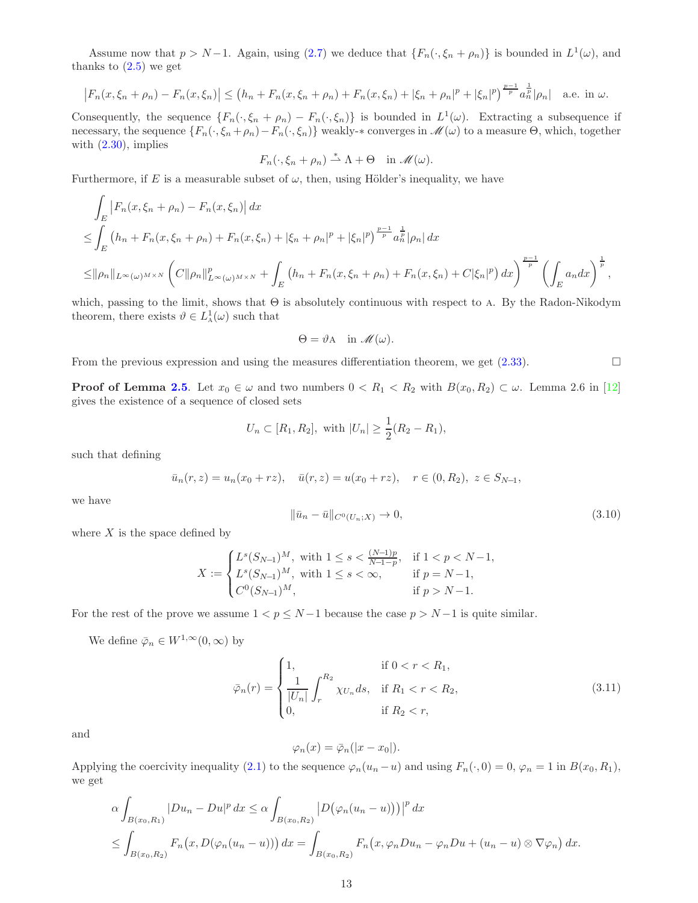Assume now that  $p > N-1$ . Again, using [\(2.7\)](#page-5-9) we deduce that  $\{F_n(\cdot,\xi_n + \rho_n)\}\$ is bounded in  $L^1(\omega)$ , and thanks to  $(2.5)$  we get

$$
\left|F_n(x,\xi_n+\rho_n)-F_n(x,\xi_n)\right|\leq (h_n+F_n(x,\xi_n+\rho_n)+F_n(x,\xi_n)+|\xi_n+\rho_n|^p+|\xi_n|^p)^{\frac{p-1}{p}}a_n^{\frac{1}{p}}|\rho_n|\quad\text{a.e. in }\omega.
$$

Consequently, the sequence  $\{F_n(\cdot,\xi_n + \rho_n) - F_n(\cdot,\xi_n)\}\$ is bounded in  $L^1(\omega)$ . Extracting a subsequence if necessary, the sequence  $\{F_n(\cdot,\xi_n+\rho_n)-F_n(\cdot,\xi_n)\}\$  weakly- $*$  converges in  $\mathscr{M}(\omega)$  to a measure  $\Theta$ , which, together with  $(2.30)$ , implies

$$
F_n(\cdot,\xi_n+\rho_n)\stackrel{*}{\rightharpoonup}\Lambda+\Theta\quad\text{in }\mathscr{M}(\omega).
$$

Furthermore, if E is a measurable subset of  $\omega$ , then, using Hölder's inequality, we have

$$
\int_{E} \left| F_{n}(x,\xi_{n}+\rho_{n}) - F_{n}(x,\xi_{n}) \right| dx
$$
\n
$$
\leq \int_{E} \left( h_{n} + F_{n}(x,\xi_{n}+\rho_{n}) + F_{n}(x,\xi_{n}) + |\xi_{n}+\rho_{n}|^{p} + |\xi_{n}|^{p} \right)^{\frac{p-1}{p}} a_{n}^{\frac{1}{p}} |\rho_{n}| dx
$$
\n
$$
\leq ||\rho_{n}||_{L^{\infty}(\omega)^{M\times N}} \left( C||\rho_{n}||_{L^{\infty}(\omega)^{M\times N}}^{p} + \int_{E} \left( h_{n} + F_{n}(x,\xi_{n}+\rho_{n}) + F_{n}(x,\xi_{n}) + C|\xi_{n}|^{p} \right) dx \right)^{\frac{p-1}{p}} \left( \int_{E} a_{n} dx \right)^{\frac{1}{p}},
$$

which, passing to the limit, shows that  $\Theta$  is absolutely continuous with respect to A. By the Radon-Nikodym theorem, there exists  $\vartheta \in L^1_{\mathcal{A}}(\omega)$  such that

$$
\Theta = \vartheta A \quad \text{in } \mathscr{M}(\omega).
$$

From the previous expression and using the measures differentiation theorem, we get  $(2.33)$ .

**Proof of Lemma [2.5](#page-6-1).** Let  $x_0 \in \omega$  and two numbers  $0 < R_1 < R_2$  with  $B(x_0, R_2) \subset \omega$ . Lemma 2.6 in [\[12\]](#page-18-15) gives the existence of a sequence of closed sets

$$
U_n \subset [R_1, R_2]
$$
, with  $|U_n| \ge \frac{1}{2}(R_2 - R_1)$ ,

such that defining

$$
\bar{u}_n(r, z) = u_n(x_0 + rz), \quad \bar{u}(r, z) = u(x_0 + rz), \quad r \in (0, R_2), \ z \in S_{N-1},
$$

we have

<span id="page-14-0"></span>
$$
\|\bar{u}_n - \bar{u}\|_{C^0(U_n;X)} \to 0,\tag{3.10}
$$

where  $X$  is the space defined by

$$
X := \begin{cases} L^s(S_{N-1})^M, & \text{with } 1 \le s < \frac{(N-1)p}{N-1-p}, & \text{if } 1 < p < N-1, \\ L^s(S_{N-1})^M, & \text{with } 1 \le s < \infty, & \text{if } p = N-1, \\ C^0(S_{N-1})^M, & \text{if } p > N-1. \end{cases}
$$

For the rest of the prove we assume  $1 < p \le N-1$  because the case  $p > N-1$  is quite similar.

We define  $\bar{\varphi}_n \in W^{1,\infty}(0,\infty)$  by

<span id="page-14-1"></span>
$$
\bar{\varphi}_n(r) = \begin{cases}\n1, & \text{if } 0 < r < R_1, \\
\frac{1}{|U_n|} \int_r^{R_2} \chi_{U_n} ds, & \text{if } R_1 < r < R_2, \\
0, & \text{if } R_2 < r,\n\end{cases} \tag{3.11}
$$

and

$$
\varphi_n(x) = \overline{\varphi}_n(|x - x_0|).
$$

Applying the coercivity inequality [\(2.1\)](#page-4-0) to the sequence  $\varphi_n(u_n - u)$  and using  $F_n(\cdot, 0) = 0$ ,  $\varphi_n = 1$  in  $B(x_0, R_1)$ , we get

$$
\alpha \int_{B(x_0,R_1)} |Du_n - Du|^p dx \le \alpha \int_{B(x_0,R_2)} |D(\varphi_n(u_n - u))| \, dx
$$
  

$$
\le \int_{B(x_0,R_2)} F_n(x, D(\varphi_n(u_n - u))) dx = \int_{B(x_0,R_2)} F_n(x, \varphi_n Du_n - \varphi_n Du + (u_n - u) \otimes \nabla \varphi_n) dx.
$$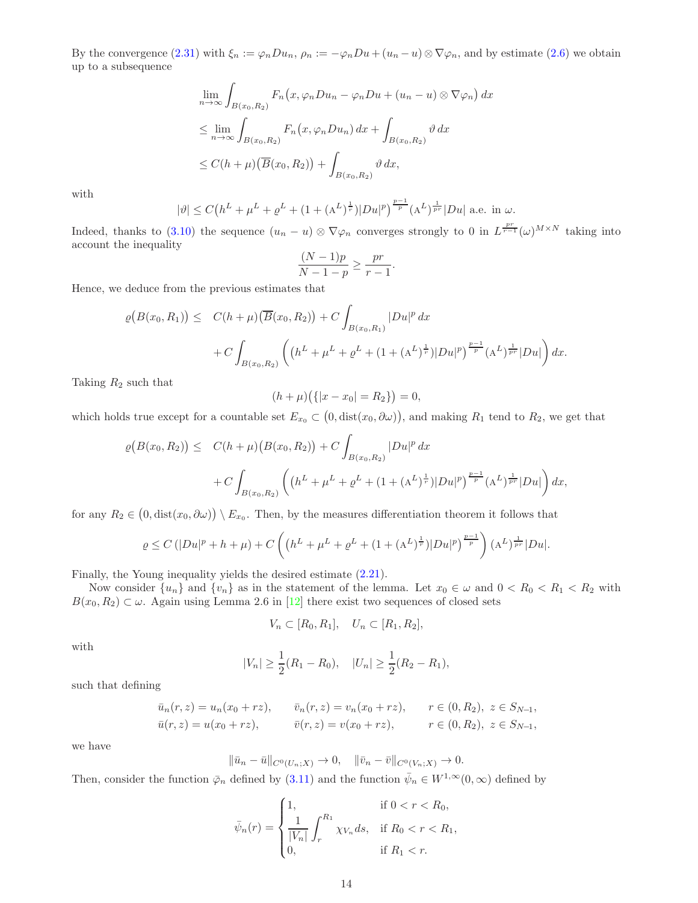By the convergence  $(2.31)$  with  $\xi_n := \varphi_n D u_n$ ,  $\rho_n := -\varphi_n D u + (u_n - u) \otimes \nabla \varphi_n$ , and by estimate  $(2.6)$  we obtain up to a subsequence

$$
\lim_{n \to \infty} \int_{B(x_0, R_2)} F_n(x, \varphi_n Du_n - \varphi_n Du + (u_n - u) \otimes \nabla \varphi_n) dx
$$
  
\n
$$
\leq \lim_{n \to \infty} \int_{B(x_0, R_2)} F_n(x, \varphi_n Du_n) dx + \int_{B(x_0, R_2)} \vartheta dx
$$
  
\n
$$
\leq C(h + \mu) (\overline{B}(x_0, R_2)) + \int_{B(x_0, R_2)} \vartheta dx,
$$

with

$$
|\vartheta| \le C\big(h^{L} + \mu^{L} + \varrho^{L} + (1 + (A^{L})^{\frac{1}{r}})|Du|^{p}\big)^{\frac{p-1}{p}}(A^{L})^{\frac{1}{pr}}|Du| \text{ a.e. in } \omega.
$$

Indeed, thanks to [\(3.10\)](#page-14-0) the sequence  $(u_n - u) \otimes \nabla \varphi_n$  converges strongly to 0 in  $L^{\frac{pr}{r-1}}(\omega)^{M \times N}$  taking into account the inequality

$$
\frac{(N-1)p}{N-1-p} \ge \frac{pr}{r-1}.
$$

Hence, we deduce from the previous estimates that

$$
\varrho(B(x_0, R_1)) \leq C(h + \mu) \left(\overline{B}(x_0, R_2)\right) + C \int_{B(x_0, R_1)} |Du|^p dx + C \int_{B(x_0, R_2)} \left( \left(h^L + \mu^L + \varrho^L + (1 + (A^L)^{\frac{1}{r}}) |Du|^p \right)^{\frac{p-1}{p}} (A^L)^{\frac{1}{pr}} |Du| \right) dx.
$$

Taking  $R_2$  such that

$$
(h + \mu)\big(\{|x - x_0| = R_2\}\big) = 0,
$$

which holds true except for a countable set  $E_{x_0} \subset (0, \text{dist}(x_0, \partial \omega))$ , and making  $R_1$  tend to  $R_2$ , we get that

$$
\varrho(B(x_0, R_2)) \leq C(h + \mu) \left( B(x_0, R_2) \right) + C \int_{B(x_0, R_2)} |Du|^p dx
$$
  
+ 
$$
C \int_{B(x_0, R_2)} \left( \left( h^L + \mu^L + \varrho^L + (1 + (A^L)^{\frac{1}{r}}) |Du|^p \right)^{\frac{p-1}{p}} (A^L)^{\frac{1}{pr}} |Du| \right) dx,
$$

for any  $R_2 \in (0, \text{dist}(x_0, \partial \omega)) \setminus E_{x_0}$ . Then, by the measures differentiation theorem it follows that

$$
\varrho \le C\left( |Du|^p + h + \mu \right) + C\left( \left( h^L + \mu^L + \varrho^L + (1 + (A^L)^{\frac{1}{r}}) |Du|^p \right)^{\frac{p-1}{p}} \right) (A^L)^{\frac{1}{p^r}} |Du|.
$$

Finally, the Young inequality yields the desired estimate [\(2.21\)](#page-6-5).

Now consider  $\{u_n\}$  and  $\{v_n\}$  as in the statement of the lemma. Let  $x_0 \in \omega$  and  $0 < R_0 < R_1 < R_2$  with  $B(x_0, R_2) \subset \omega$ . Again using Lemma 2.6 in [\[12\]](#page-18-15) there exist two sequences of closed sets

$$
V_n \subset [R_0, R_1], \quad U_n \subset [R_1, R_2],
$$

with

$$
|V_n| \ge \frac{1}{2}(R_1 - R_0), \quad |U_n| \ge \frac{1}{2}(R_2 - R_1),
$$

such that defining

$$
\bar{u}_n(r, z) = u_n(x_0 + rz), \qquad \bar{v}_n(r, z) = v_n(x_0 + rz), \qquad r \in (0, R_2), \ z \in S_{N-1},
$$
  
\n
$$
\bar{u}(r, z) = u(x_0 + rz), \qquad \bar{v}(r, z) = v(x_0 + rz), \qquad r \in (0, R_2), \ z \in S_{N-1},
$$

we have

$$
\|\bar{u}_n - \bar{u}\|_{C^0(U_n;X)} \to 0, \quad \|\bar{v}_n - \bar{v}\|_{C^0(V_n;X)} \to 0.
$$

Then, consider the function  $\bar{\varphi}_n$  defined by [\(3.11\)](#page-14-1) and the function  $\bar{\psi}_n \in W^{1,\infty}(0,\infty)$  defined by

$$
\bar{\psi}_n(r) = \begin{cases}\n1, & \text{if } 0 < r < R_0, \\
\frac{1}{|V_n|} \int_r^{R_1} \chi_{V_n} ds, & \text{if } R_0 < r < R_1, \\
0, & \text{if } R_1 < r.\n\end{cases}
$$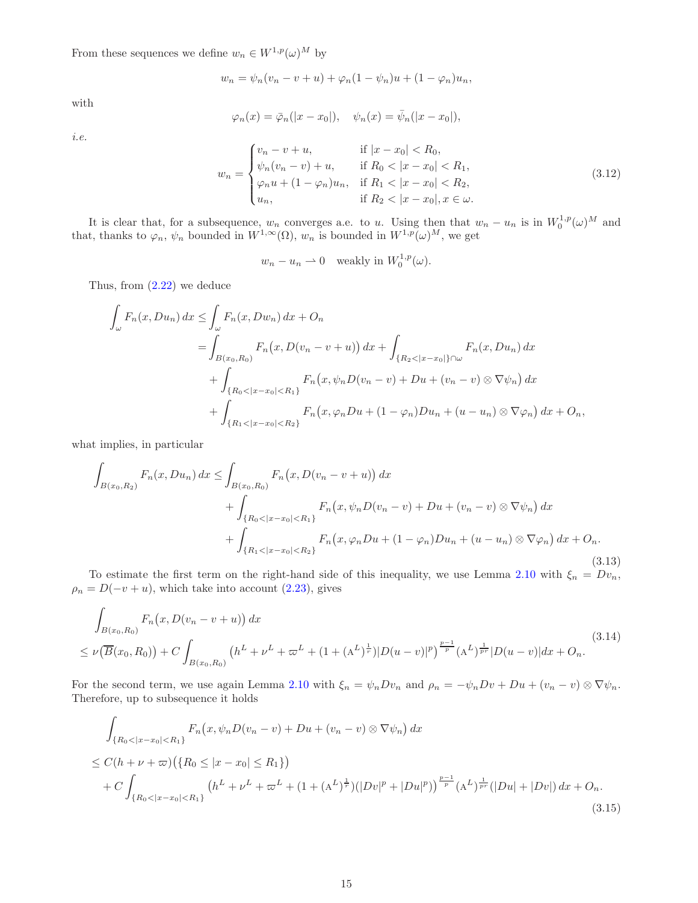From these sequences we define  $w_n \in W^{1,p}(\omega)^M$  by

$$
w_n = \psi_n(v_n - v + u) + \varphi_n(1 - \psi_n)u + (1 - \varphi_n)u_n,
$$

with

$$
\varphi_n(x) = \overline{\varphi}_n(|x - x_0|), \quad \psi_n(x) = \overline{\psi}_n(|x - x_0|),
$$

i.e.

<span id="page-16-3"></span>
$$
w_n = \begin{cases} v_n - v + u, & \text{if } |x - x_0| < R_0, \\ \psi_n(v_n - v) + u, & \text{if } R_0 < |x - x_0| < R_1, \\ \varphi_n u + (1 - \varphi_n) u_n, & \text{if } R_1 < |x - x_0| < R_2, \\ u_n, & \text{if } R_2 < |x - x_0|, x \in \omega. \end{cases} \tag{3.12}
$$

It is clear that, for a subsequence,  $w_n$  converges a.e. to u. Using then that  $w_n - u_n$  is in  $W_0^{1,p}(\omega)^M$  and that, thanks to  $\varphi_n$ ,  $\psi_n$  bounded in  $W^{1,\infty}(\Omega)$ ,  $w_n$  is bounded in  $W^{1,p}(\omega)^M$ , we get

$$
w_n - u_n \rightharpoonup 0
$$
 weakly in  $W_0^{1,p}(\omega)$ .

Thus, from  $(2.22)$  we deduce

$$
\int_{\omega} F_n(x, Du_n) dx \le \int_{\omega} F_n(x, Dw_n) dx + O_n
$$
\n
$$
= \int_{B(x_0, R_0)} F_n(x, D(v_n - v + u)) dx + \int_{\{R_2 < |x - x_0|\} \cap \omega} F_n(x, Du_n) dx
$$
\n
$$
+ \int_{\{R_0 < |x - x_0| < R_1\}} F_n(x, \psi_n D(v_n - v) + Du + (v_n - v) \otimes \nabla \psi_n) dx
$$
\n
$$
+ \int_{\{R_1 < |x - x_0| < R_2\}} F_n(x, \varphi_n Du + (1 - \varphi_n) Du_n + (u - u_n) \otimes \nabla \varphi_n) dx + O_n,
$$

what implies, in particular

<span id="page-16-0"></span>
$$
\int_{B(x_0, R_2)} F_n(x, Du_n) dx \le \int_{B(x_0, R_0)} F_n(x, D(v_n - v + u)) dx \n+ \int_{\{R_0 < |x - x_0| < R_1\}} F_n(x, \psi_n D(v_n - v) + Du + (v_n - v) \otimes \nabla \psi_n) dx \n+ \int_{\{R_1 < |x - x_0| < R_2\}} F_n(x, \varphi_n Du + (1 - \varphi_n) Du_n + (u - u_n) \otimes \nabla \varphi_n) dx + O_n.
$$
\n(3.13)

To estimate the first term on the right-hand side of this inequality, we use Lemma [2.10](#page-8-1) with  $\xi_n = Dv_n$ ,  $\rho_n = D(-v+u)$ , which take into account [\(2.23\)](#page-6-9), gives

<span id="page-16-1"></span>
$$
\int_{B(x_0,R_0)} F_n(x,D(v_n-v+u)) dx
$$
\n
$$
\leq \nu(\overline{B}(x_0,R_0)) + C \int_{B(x_0,R_0)} (h^L + \nu^L + \overline{\omega}^L + (1 + (A^L)^{\frac{1}{r}}) |D(u-v)|^p)^{\frac{p-1}{p}} (A^L)^{\frac{1}{pr}} |D(u-v)| dx + O_n.
$$
\n(3.14)

For the second term, we use again Lemma [2.10](#page-8-1) with  $\xi_n = \psi_n Dv_n$  and  $\rho_n = -\psi_n Dv + Du + (v_n - v) \otimes \nabla \psi_n$ . Therefore, up to subsequence it holds

<span id="page-16-2"></span>
$$
\int_{\{R_0 < |x - x_0| < R_1\}} F_n(x, \psi_n D(v_n - v) + Du + (v_n - v) \otimes \nabla \psi_n) dx
$$
\n
$$
\leq C(h + \nu + \varpi) \left( \{R_0 \leq |x - x_0| \leq R_1\} \right)
$$
\n
$$
+ C \int_{\{R_0 < |x - x_0| < R_1\}} (h^L + \nu^L + \varpi^L + (1 + (A^L)^{\frac{1}{r}}) (|Dv|^p + |Du|^p) \right)^{\frac{p-1}{p}} (A^L)^{\frac{1}{pr}} (|Du| + |Dv|) dx + O_n.
$$
\n(3.15)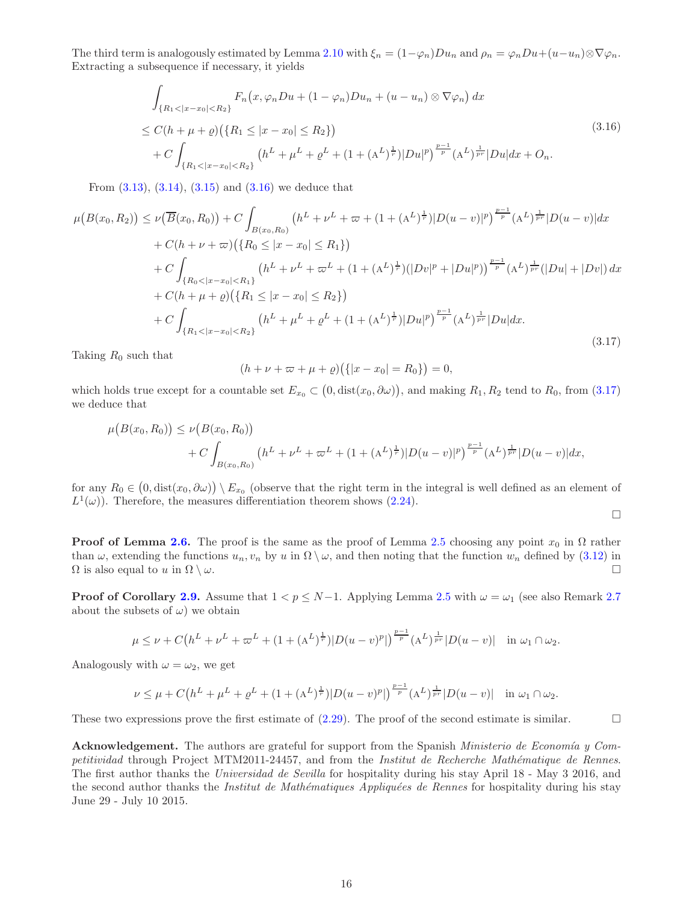The third term is analogously estimated by Lemma [2.10](#page-8-1) with  $\xi_n = (1 - \varphi_n)Du_n$  and  $\rho_n = \varphi_n Du + (u - u_n)\otimes \nabla \varphi_n$ . Extracting a subsequence if necessary, it yields

<span id="page-17-0"></span>
$$
\int_{\{R_1 < |x - x_0| < R_2\}} F_n(x, \varphi_n Du + (1 - \varphi_n) Du_n + (u - u_n) \otimes \nabla \varphi_n) \, dx
$$
\n
$$
\leq C(h + \mu + \varrho) \left( \{R_1 \leq |x - x_0| \leq R_2\} \right)
$$
\n
$$
+ C \int_{\{R_1 < |x - x_0| < R_2\}} \left( h^L + \mu^L + \varrho^L + (1 + (A^L)^{\frac{1}{r}}) |Du|^p \right)^{\frac{p-1}{p}} (A^L)^{\frac{1}{pr}} |Du| \, dx + O_n.
$$
\n
$$
(3.16)
$$

From [\(3.13\)](#page-16-0), [\(3.14\)](#page-16-1), [\(3.15\)](#page-16-2) and [\(3.16\)](#page-17-0) we deduce that

<span id="page-17-1"></span>
$$
\mu\left(B(x_0, R_2)\right) \leq \nu\left(\overline{B}(x_0, R_0)\right) + C \int_{B(x_0, R_0)} \left(h^L + \nu^L + \overline{\omega} + (1 + (A^L)^{\frac{1}{r}})|D(u - v)|^p\right)^{\frac{p-1}{p}} (A^L)^{\frac{1}{p r}} |D(u - v)| dx \n+ C(h + \nu + \overline{\omega})\left(\{R_0 \leq |x - x_0| \leq R_1\}\right) \n+ C \int_{\{R_0 < |x - x_0| < R_1\}} \left(h^L + \nu^L + \overline{\omega}^L + (1 + (A^L)^{\frac{1}{r}})(|Dv|^p + |Du|^p)\right)^{\frac{p-1}{p}} (A^L)^{\frac{1}{pr}} (|Du| + |Dv|) dx \n+ C(h + \mu + \varrho)\left(\{R_1 \leq |x - x_0| \leq R_2\}\right) \n+ C \int_{\{R_1 < |x - x_0| < R_2\}} \left(h^L + \mu^L + \varrho^L + (1 + (A^L)^{\frac{1}{r}})|Du|^p\right)^{\frac{p-1}{p}} (A^L)^{\frac{1}{pr}} |Du| dx.
$$
\n(3.17)

Taking  $R_0$  such that

$$
(h + \nu + \varpi + \mu + \varrho)(\{|x - x_0| = R_0\}) = 0,
$$

which holds true except for a countable set  $E_{x_0} \subset (0, \text{dist}(x_0, \partial \omega))$ , and making  $R_1, R_2$  tend to  $R_0$ , from  $(3.17)$ we deduce that

$$
\mu(B(x_0, R_0)) \leq \nu(B(x_0, R_0))
$$
  
+ 
$$
C \int_{B(x_0, R_0)} (h^L + \nu^L + \varpi^L + (1 + (A^L)^{\frac{1}{r}}) |D(u - v)|^p)^{\frac{p-1}{p}} (A^L)^{\frac{1}{pr}} |D(u - v)| dx,
$$

for any  $R_0 \in (0, \text{dist}(x_0, \partial \omega)) \setminus E_{x_0}$  (observe that the right term in the integral is well defined as an element of  $L^1(\omega)$ . Therefore, the measures differentiation theorem shows [\(2.24\)](#page-6-2).

$$
\Box
$$

**Proof of Lemma [2.6.](#page-7-5)** The proof is the same as the proof of Lemma [2.5](#page-6-1) choosing any point  $x_0$  in  $\Omega$  rather than  $\omega$ , extending the functions  $u_n, v_n$  by u in  $\Omega \setminus \omega$ , and then noting that the function  $w_n$  defined by [\(3.12\)](#page-16-3) in  $\Omega$  is also equal to u in  $\Omega \setminus \omega$ .

**Proof of Corollary [2.9.](#page-7-1)** Assume that  $1 < p \le N-1$ . Applying Lemma [2.5](#page-6-1) with  $\omega = \omega_1$  (see also Remark [2.7](#page-7-6)) about the subsets of  $\omega$ ) we obtain

$$
\mu \leq \nu + C\left(h^{L} + \nu^{L} + \varpi^{L} + (1 + (A^{L})^{\frac{1}{r}})|D(u - v)^{p}|\right)^{\frac{p-1}{p}}(A^{L})^{\frac{1}{pr}}|D(u - v)| \quad \text{in } \omega_{1} \cap \omega_{2}.
$$

Analogously with  $\omega = \omega_2$ , we get

$$
\nu \le \mu + C\left(h^L + \mu^L + \varrho^L + (1 + (A^L)^{\frac{1}{r}})|D(u - v)^p|\right)^{\frac{p-1}{p}} (A^L)^{\frac{1}{pr}}|D(u - v)| \quad \text{in } \omega_1 \cap \omega_2.
$$

These two expressions prove the first estimate of  $(2.29)$ . The proof of the second estimate is similar.

Acknowledgement. The authors are grateful for support from the Spanish Ministerio de Economía y Competitividad through Project MTM2011-24457, and from the *Institut de Recherche Mathématique de Rennes*. The first author thanks the Universidad de Sevilla for hospitality during his stay April 18 - May 3 2016, and the second author thanks the *Institut de Mathématiques Appliquées de Rennes* for hospitality during his stay June 29 - July 10 2015.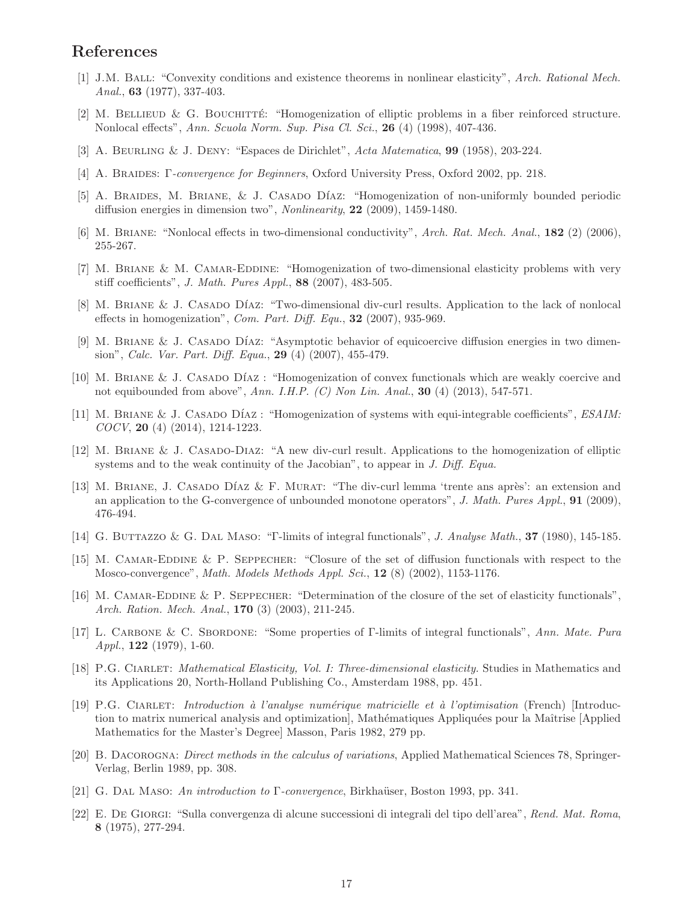## <span id="page-18-20"></span>References

- <span id="page-18-8"></span>[1] J.M. Ball: "Convexity conditions and existence theorems in nonlinear elasticity", Arch. Rational Mech. Anal., **63** (1977), 337-403.
- <span id="page-18-9"></span>[2] M. BELLIEUD & G. BOUCHITTÉ: "Homogenization of elliptic problems in a fiber reinforced structure. Nonlocal effects", Ann. Scuola Norm. Sup. Pisa Cl. Sci., 26 (4) (1998), 407-436.
- <span id="page-18-2"></span>[3] A. Beurling & J. Deny: "Espaces de Dirichlet", Acta Matematica, 99 (1958), 203-224.
- <span id="page-18-5"></span>[4] A. Braides: Γ-convergence for Beginners, Oxford University Press, Oxford 2002, pp. 218.
- <span id="page-18-16"></span>[5] A. BRAIDES, M. BRIANE, & J. CASADO DÍAZ: "Homogenization of non-uniformly bounded periodic diffusion energies in dimension two", Nonlinearity, 22 (2009), 1459-1480.
- <span id="page-18-13"></span>[6] M. Briane: "Nonlocal effects in two-dimensional conductivity", Arch. Rat. Mech. Anal., 182 (2) (2006), 255-267.
- [7] M. Briane & M. Camar-Eddine: "Homogenization of two-dimensional elasticity problems with very stiff coefficients", J. Math. Pures Appl., 88 (2007), 483-505.
- [8] M. BRIANE & J. CASADO DÍAZ: "Two-dimensional div-curl results. Application to the lack of nonlocal effects in homogenization", Com. Part. Diff. Equ.,  $32$  (2007), 935-969.
- <span id="page-18-6"></span>[9] M. BRIANE & J. CASADO DÍAZ: "Asymptotic behavior of equicoercive diffusion energies in two dimension", Calc. Var. Part. Diff. Equa., 29 (4) (2007), 455-479.
- <span id="page-18-7"></span>[10] M. BRIANE & J. CASADO DÍAZ : "Homogenization of convex functionals which are weakly coercive and not equibounded from above", Ann. I.H.P.  $(C)$  Non Lin. Anal., 30 (4) (2013), 547-571.
- <span id="page-18-12"></span>[11] M. BRIANE & J. CASADO DÍAZ: "Homogenization of systems with equi-integrable coefficients", *ESAIM*: COCV, 20 (4) (2014), 1214-1223.
- <span id="page-18-15"></span><span id="page-18-14"></span>[12] M. Briane & J. Casado-Diaz: "A new div-curl result. Applications to the homogenization of elliptic systems and to the weak continuity of the Jacobian", to appear in J. Diff. Equa.
- [13] M. BRIANE, J. CASADO DÍAZ & F. MURAT: "The div-curl lemma 'trente ans après': an extension and an application to the G-convergence of unbounded monotone operators", J. Math. Pures Appl., 91 (2009), 476-494.
- <span id="page-18-10"></span><span id="page-18-4"></span>[14] G. Buttazzo & G. Dal Maso: "Γ-limits of integral functionals", J. Analyse Math., 37 (1980), 145-185.
- [15] M. Camar-Eddine & P. Seppecher: "Closure of the set of diffusion functionals with respect to the Mosco-convergence", *Math. Models Methods Appl. Sci.*,  $12$  (8) (2002), 1153-1176.
- <span id="page-18-11"></span>[16] M. CAMAR-EDDINE & P. SEPPECHER: "Determination of the closure of the set of elasticity functionals", Arch. Ration. Mech. Anal., **170** (3) (2003), 211-245.
- <span id="page-18-3"></span>[17] L. Carbone & C. Sbordone: "Some properties of Γ-limits of integral functionals", Ann. Mate. Pura  $Appl., \, 122 \, (1979), \, 1-60.$
- <span id="page-18-19"></span><span id="page-18-17"></span>[18] P.G. Ciarlet: Mathematical Elasticity, Vol. I: Three-dimensional elasticity. Studies in Mathematics and its Applications 20, North-Holland Publishing Co., Amsterdam 1988, pp. 451.
- [19] P.G. Ciarlet: Introduction `a l'analyse num´erique matricielle et `a l'optimisation (French) [Introduction to matrix numerical analysis and optimization, Mathématiques Appliquées pour la Maîtrise [Applied] Mathematics for the Master's Degree] Masson, Paris 1982, 279 pp.
- <span id="page-18-18"></span>[20] B. Dacorogna: Direct methods in the calculus of variations, Applied Mathematical Sciences 78, Springer-Verlag, Berlin 1989, pp. 308.
- <span id="page-18-1"></span><span id="page-18-0"></span>[21] G. DAL MASO: An introduction to  $\Gamma$ -convergence, Birkhaüser, Boston 1993, pp. 341.
- [22] E. De Giorgi: "Sulla convergenza di alcune successioni di integrali del tipo dell'area", Rend. Mat. Roma, 8 (1975), 277-294.